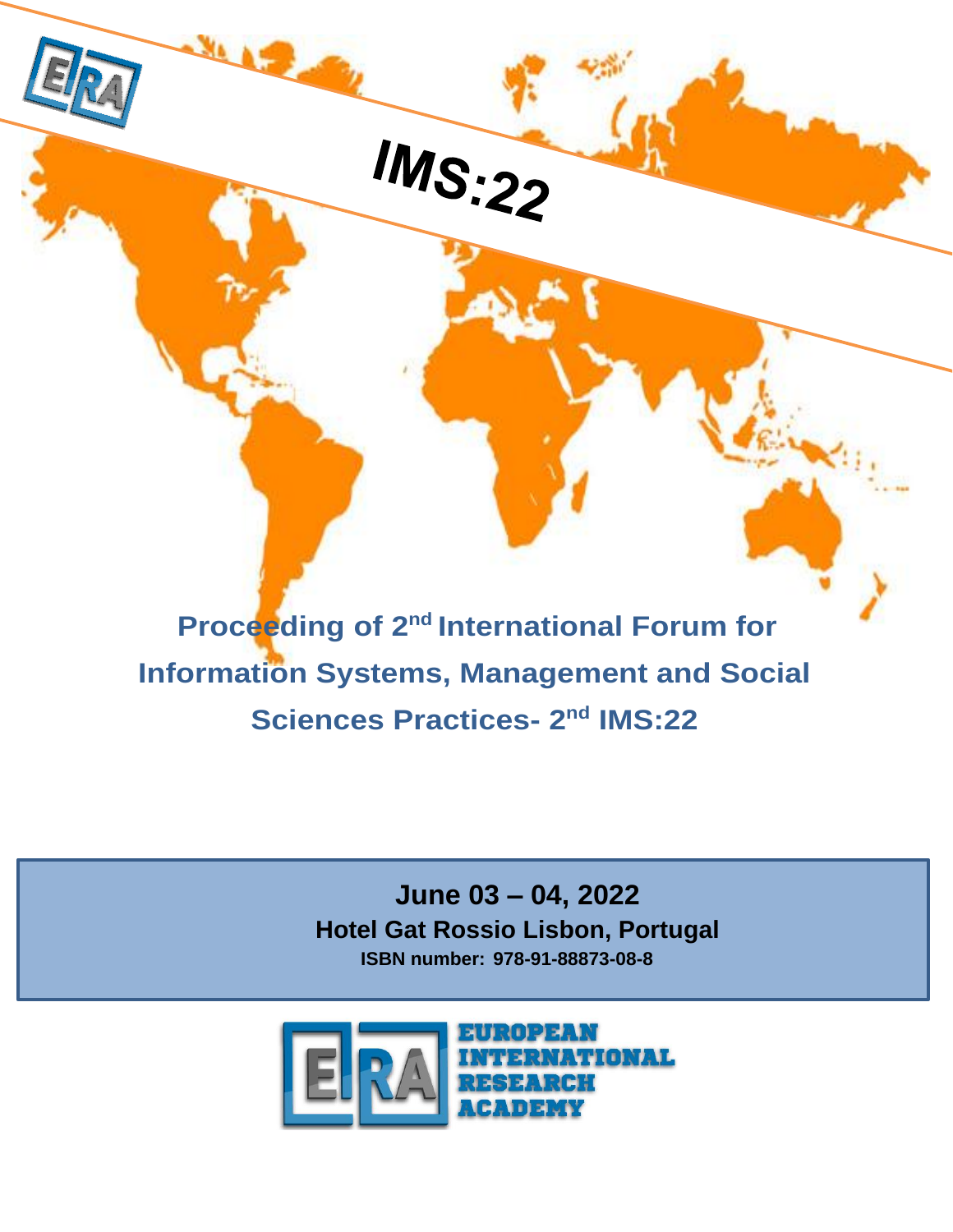**Proceeding of 2<sup>nd</sup> International Forum for Information Systems, Management and Social Sciences Practices- 2<sup>nd</sup> IMS:22** 

IMS:22

l,

**June 03 – 04, 2022 Hotel Gat Rossio Lisbon, Portugal ISBN number: 978-91-88873-08-8**

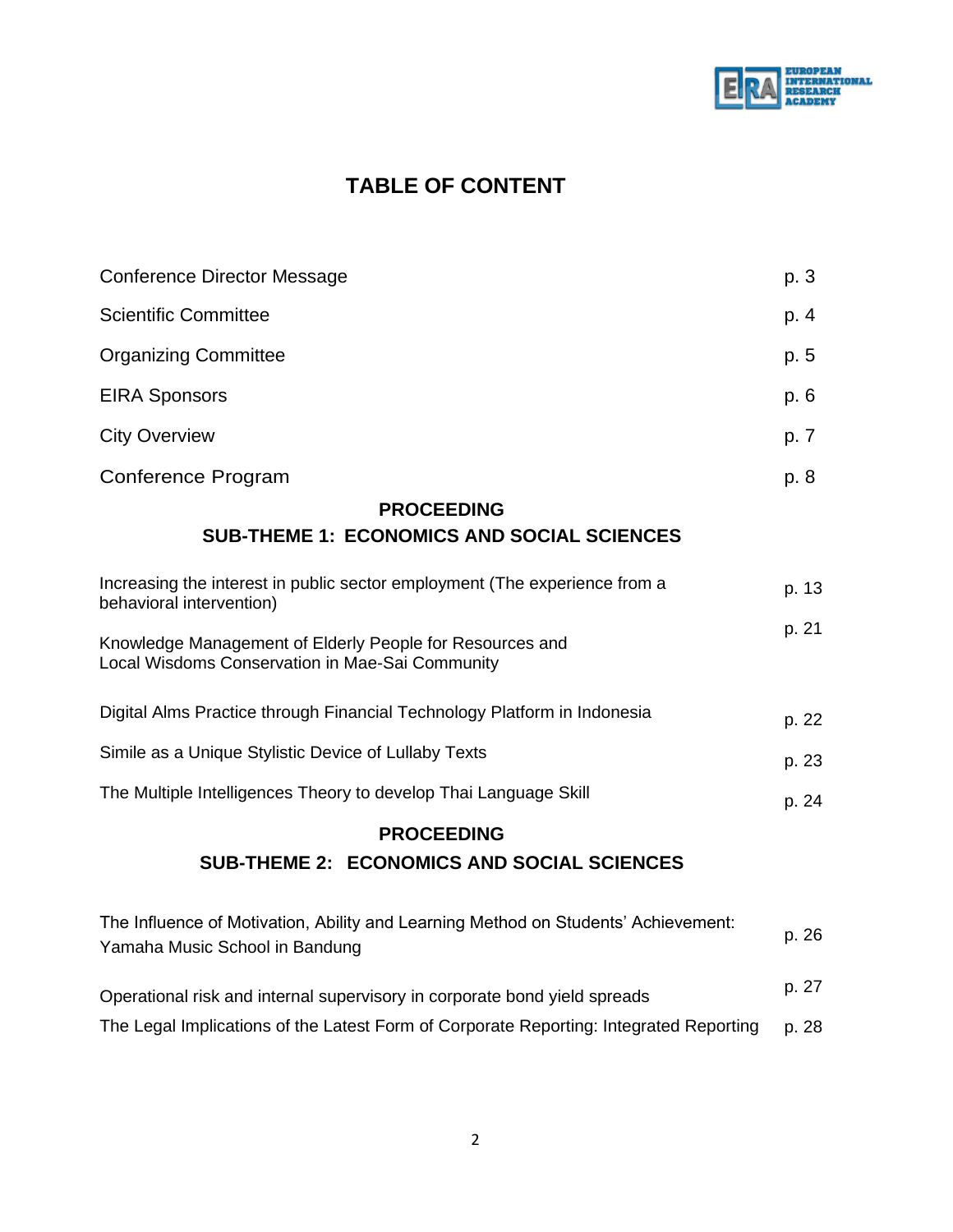

# **TABLE OF CONTENT**

| <b>Conference Director Message</b>                                                                          |       |  |
|-------------------------------------------------------------------------------------------------------------|-------|--|
| <b>Scientific Committee</b>                                                                                 | p. 4  |  |
| <b>Organizing Committee</b>                                                                                 | p. 5  |  |
| <b>EIRA Sponsors</b>                                                                                        | p. 6  |  |
| <b>City Overview</b>                                                                                        | p. 7  |  |
| Conference Program                                                                                          | p. 8  |  |
| <b>PROCEEDING</b><br><b>SUB-THEME 1: ECONOMICS AND SOCIAL SCIENCES</b>                                      |       |  |
| Increasing the interest in public sector employment (The experience from a<br>behavioral intervention)      | p. 13 |  |
| Knowledge Management of Elderly People for Resources and<br>Local Wisdoms Conservation in Mae-Sai Community |       |  |

| Digital Alms Practice through Financial Technology Platform in Indonesia | p. 22 |
|--------------------------------------------------------------------------|-------|
| Simile as a Unique Stylistic Device of Lullaby Texts                     | p. 23 |

The Multiple Intelligences Theory to develop Thai Language Skill p. 24

## **PROCEEDING**

## **SUB-THEME 2: ECONOMICS AND SOCIAL SCIENCES**

| The Influence of Motivation, Ability and Learning Method on Students' Achievement:     | p. 26 |  |
|----------------------------------------------------------------------------------------|-------|--|
| Yamaha Music School in Bandung                                                         |       |  |
|                                                                                        |       |  |
| Operational risk and internal supervisory in corporate bond yield spreads              | p. 27 |  |
| The Legal Implications of the Latest Form of Corporate Reporting: Integrated Reporting | p. 28 |  |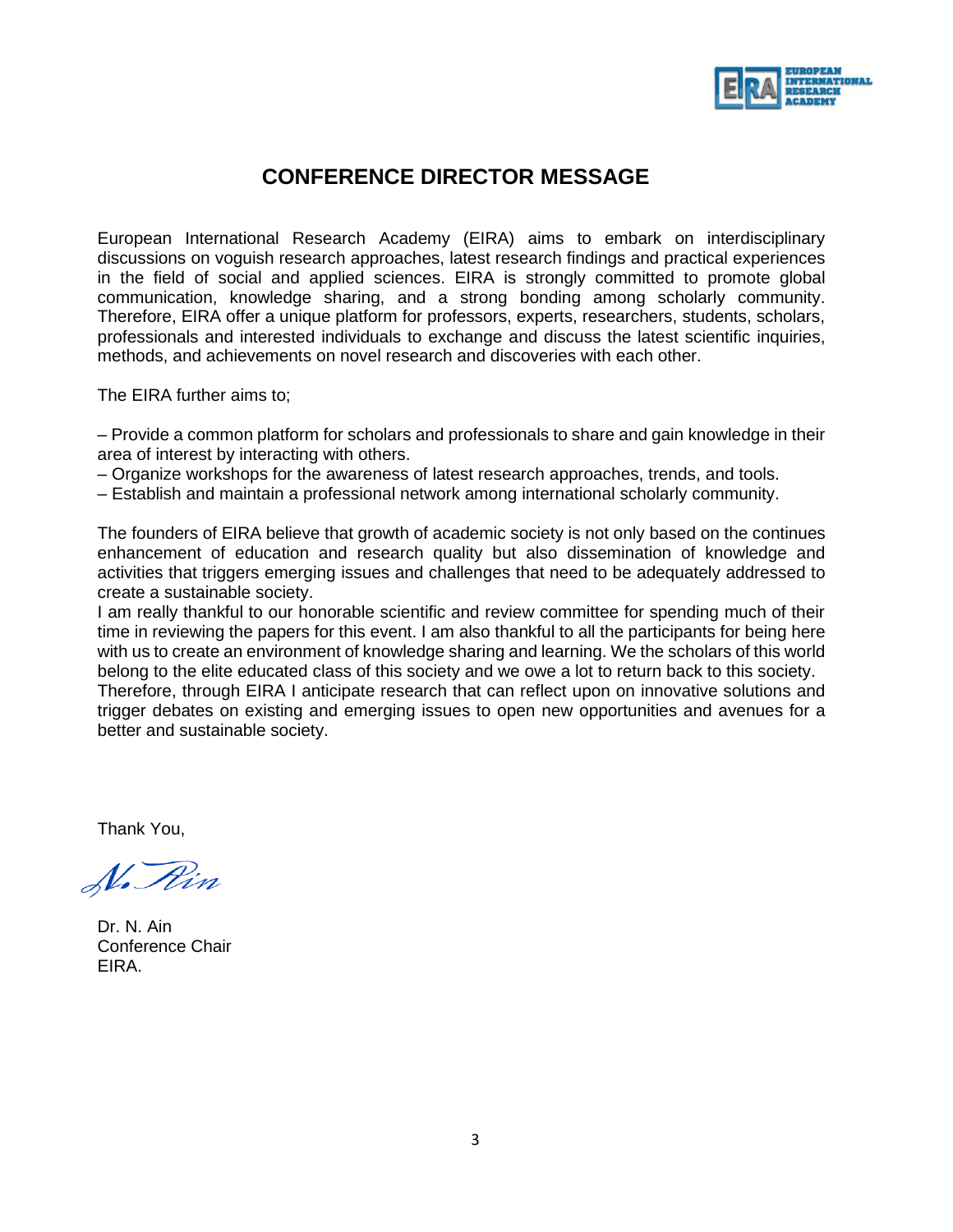

## **CONFERENCE DIRECTOR MESSAGE**

European International Research Academy (EIRA) aims to embark on interdisciplinary discussions on voguish research approaches, latest research findings and practical experiences in the field of social and applied sciences. EIRA is strongly committed to promote global communication, knowledge sharing, and a strong bonding among scholarly community. Therefore, EIRA offer a unique platform for professors, experts, researchers, students, scholars, professionals and interested individuals to exchange and discuss the latest scientific inquiries, methods, and achievements on novel research and discoveries with each other.

The EIRA further aims to;

– Provide a common platform for scholars and professionals to share and gain knowledge in their area of interest by interacting with others.

– Organize workshops for the awareness of latest research approaches, trends, and tools.

– Establish and maintain a professional network among international scholarly community.

The founders of EIRA believe that growth of academic society is not only based on the continues enhancement of education and research quality but also dissemination of knowledge and activities that triggers emerging issues and challenges that need to be adequately addressed to create a sustainable society.

I am really thankful to our honorable scientific and review committee for spending much of their time in reviewing the papers for this event. I am also thankful to all the participants for being here with us to create an environment of knowledge sharing and learning. We the scholars of this world belong to the elite educated class of this society and we owe a lot to return back to this society. Therefore, through EIRA I anticipate research that can reflect upon on innovative solutions and trigger debates on existing and emerging issues to open new opportunities and avenues for a better and sustainable society.

Thank You,

N. Rin

Dr. N. Ain Conference Chair EIRA.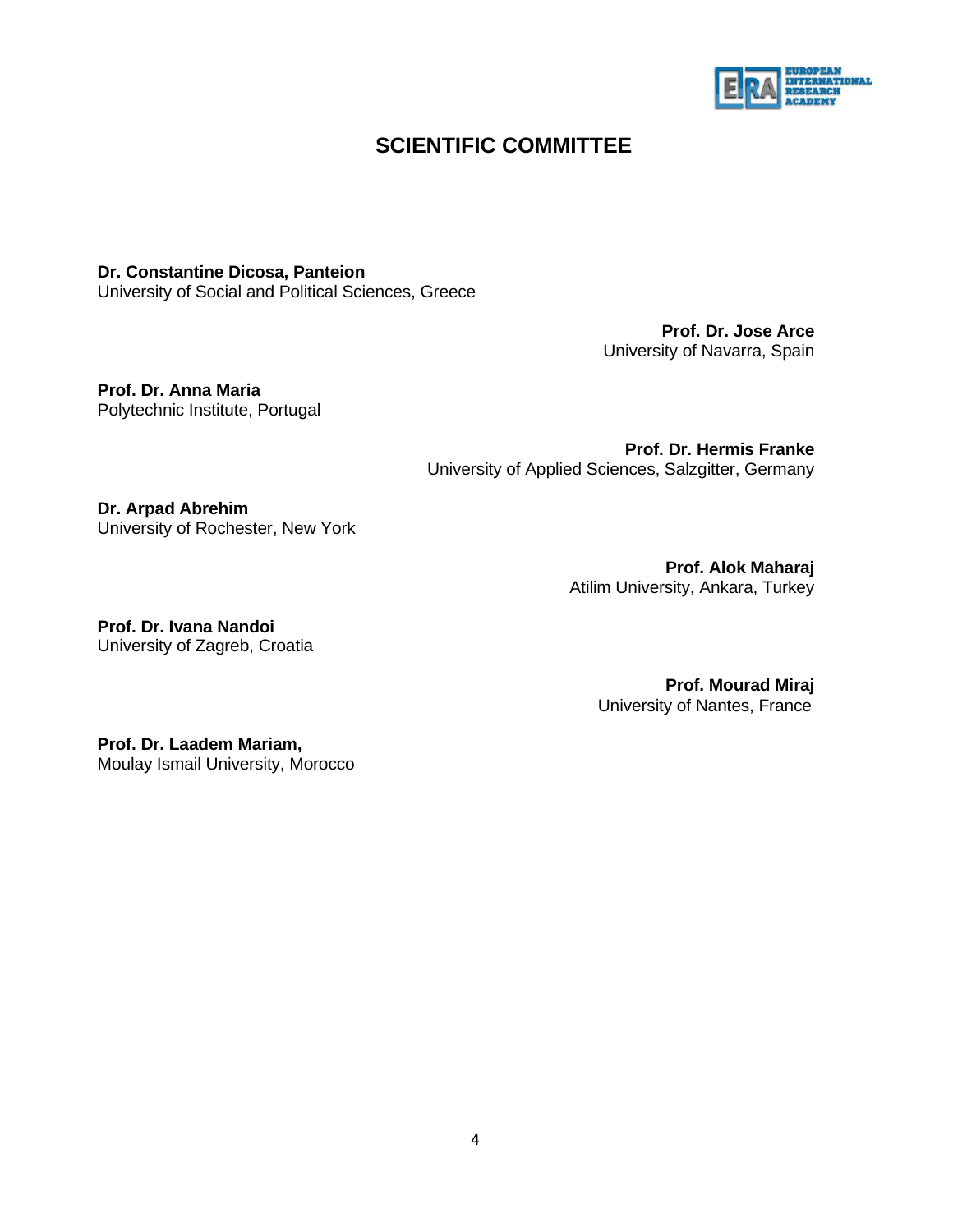

## **SCIENTIFIC COMMITTEE**

**Dr. Constantine Dicosa, Panteion** 

University of Social and Political Sciences, Greece

**Prof. Dr. Jose Arce** University of Navarra, Spain

**Prof. Dr. Anna Maria** Polytechnic Institute, Portugal

> **Prof. Dr. Hermis Franke** University of Applied Sciences, Salzgitter, Germany

**Dr. Arpad Abrehim** University of Rochester, New York

> **Prof. Alok Maharaj** Atilim University, Ankara, Turkey

**Prof. Dr. Ivana Nandoi** University of Zagreb, Croatia

> **Prof. Mourad Miraj** University of Nantes, France

**Prof. Dr. Laadem Mariam,**  Moulay Ismail University, Morocco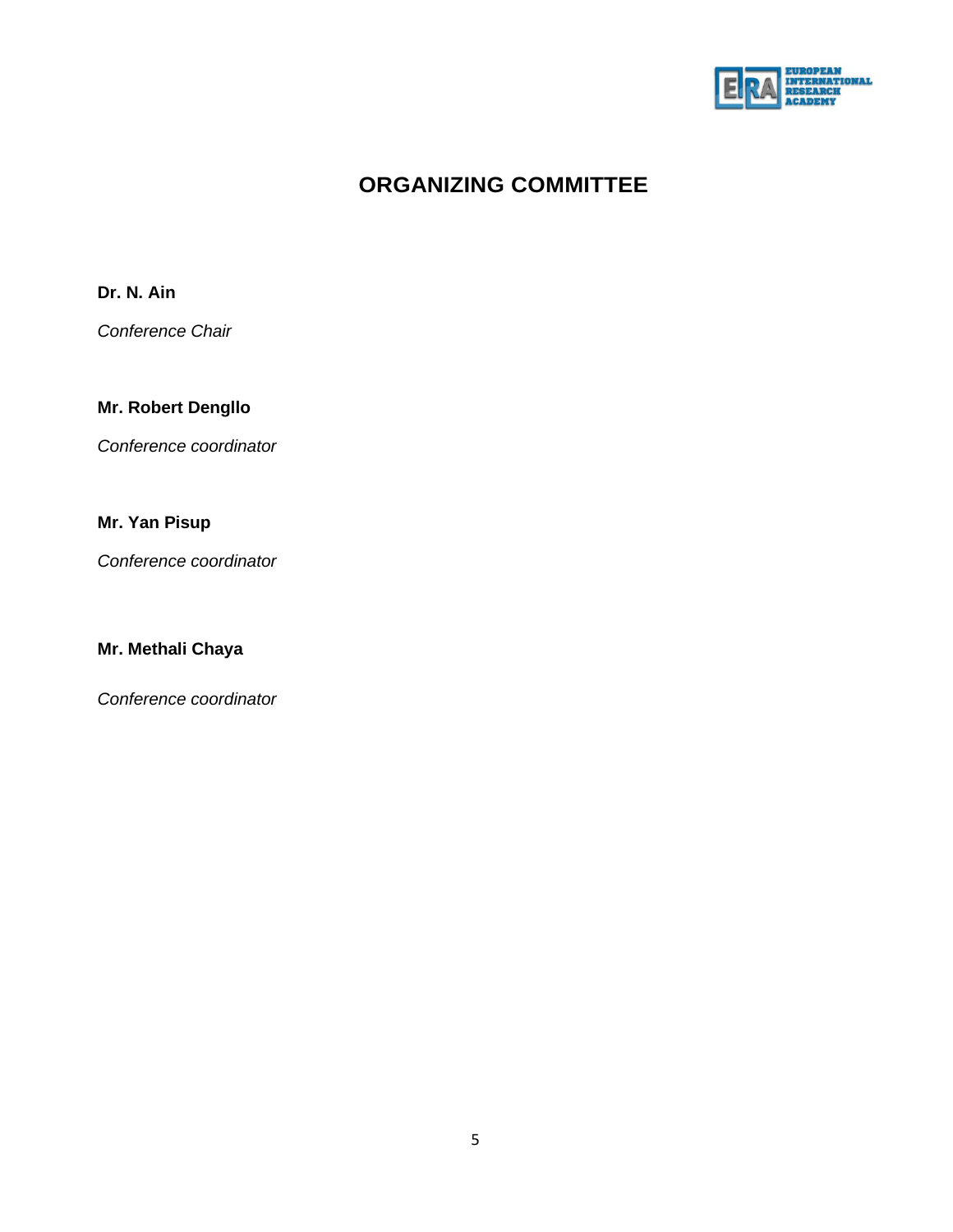

# **ORGANIZING COMMITTEE**

**Dr. N. Ain**

*Conference Chair*

## **Mr. Robert Dengllo**

*Conference coordinator*

## **Mr. Yan Pisup**

*Conference coordinator*

## **Mr. Methali Chaya**

*Conference coordinator*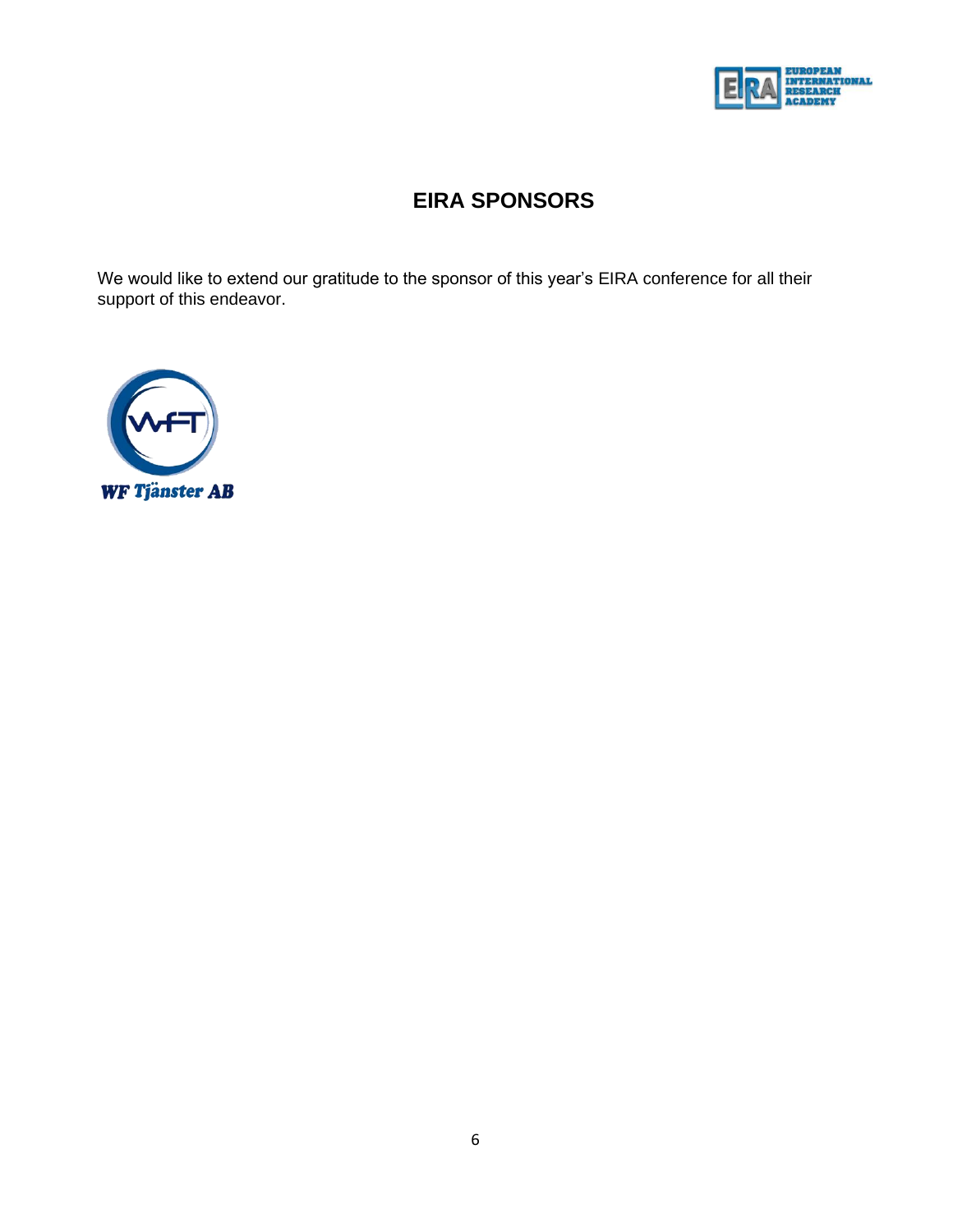

# **EIRA SPONSORS**

We would like to extend our gratitude to the sponsor of this year's EIRA conference for all their support of this endeavor.

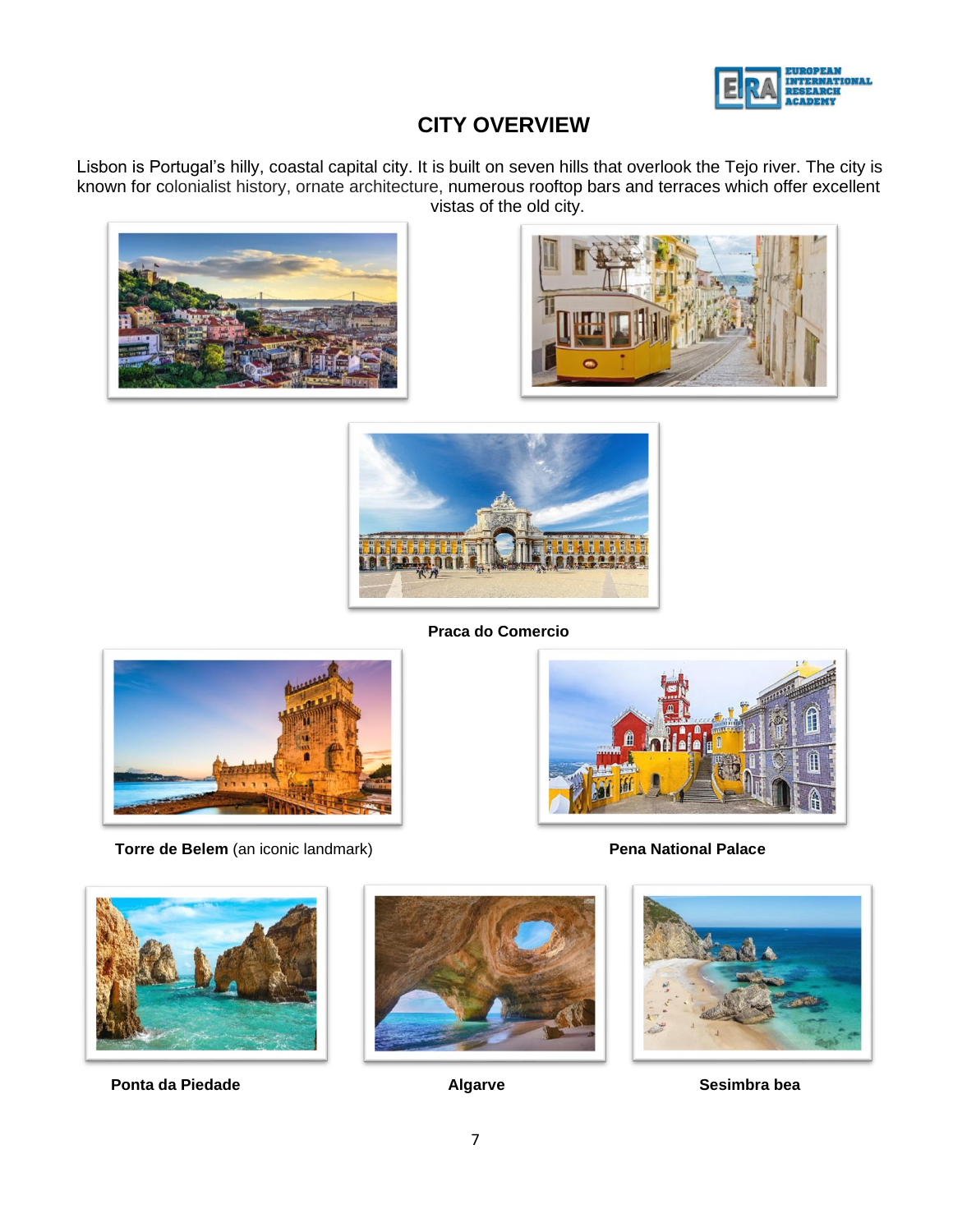

# **CITY OVERVIEW**

Lisbon is Portugal's hilly, coastal capital city. It is built on seven hills that overlook the Tejo river. The city is known for colonialist history, ornate architecture, numerous rooftop bars and terraces which offer excellent vistas of the old city.







**Praca do Comercio**



**Torre de Belem** (an iconic landmark) **Pena National Palace** 





**Ponta da Piedade Algarve** Algarve **Algarve** Sesimbra bea



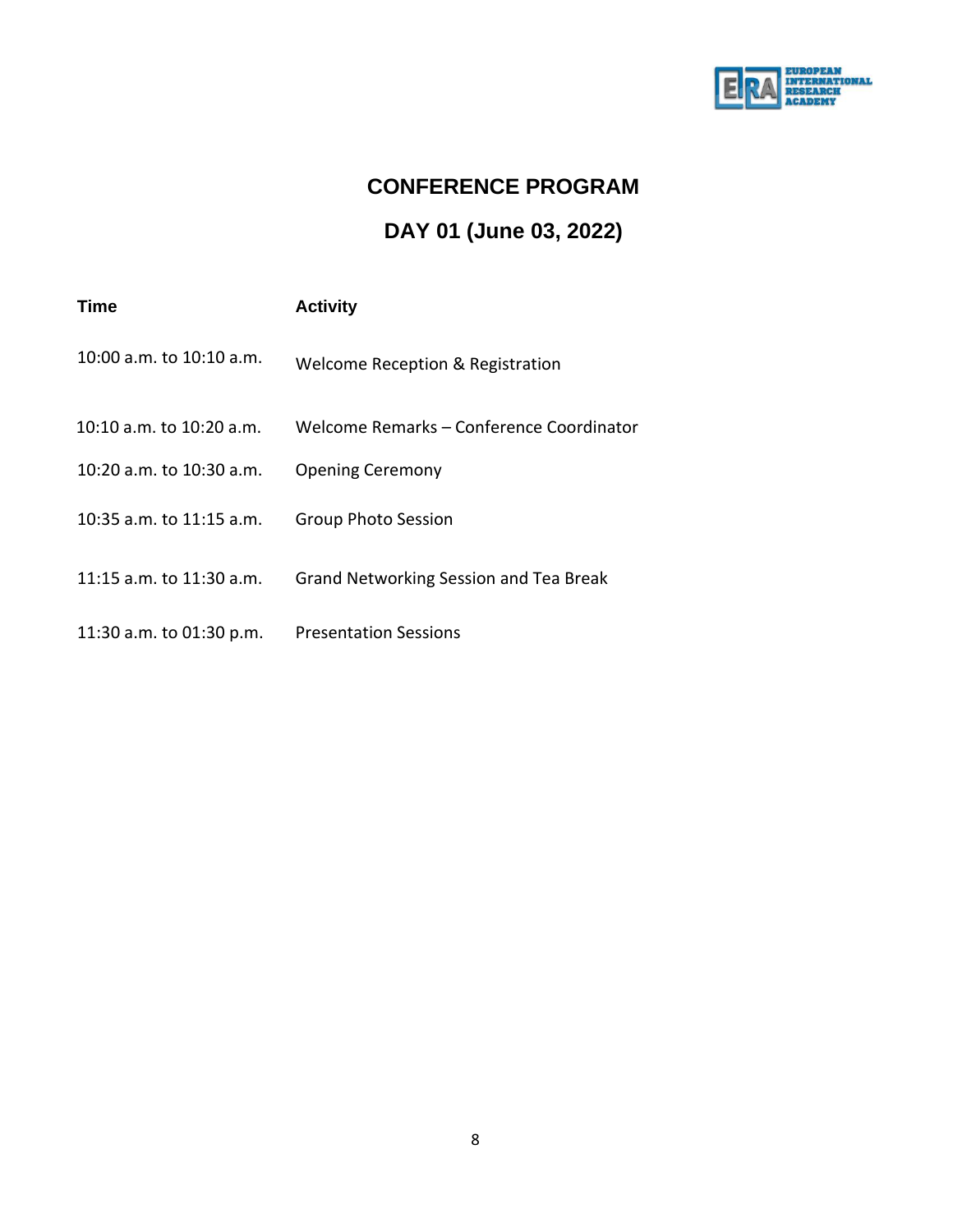

# **CONFERENCE PROGRAM**

# **DAY 01 (June 03, 2022)**

| Time                       | <b>Activity</b>                          |
|----------------------------|------------------------------------------|
| 10:00 a.m. to $10:10$ a.m. | Welcome Reception & Registration         |
| 10:10 a.m. to 10:20 a.m.   | Welcome Remarks – Conference Coordinator |
| 10:20 a.m. to 10:30 a.m.   | <b>Opening Ceremony</b>                  |
| 10:35 a.m. to 11:15 a.m.   | <b>Group Photo Session</b>               |
| 11:15 a.m. to 11:30 a.m.   | Grand Networking Session and Tea Break   |
| 11:30 a.m. to 01:30 p.m.   | <b>Presentation Sessions</b>             |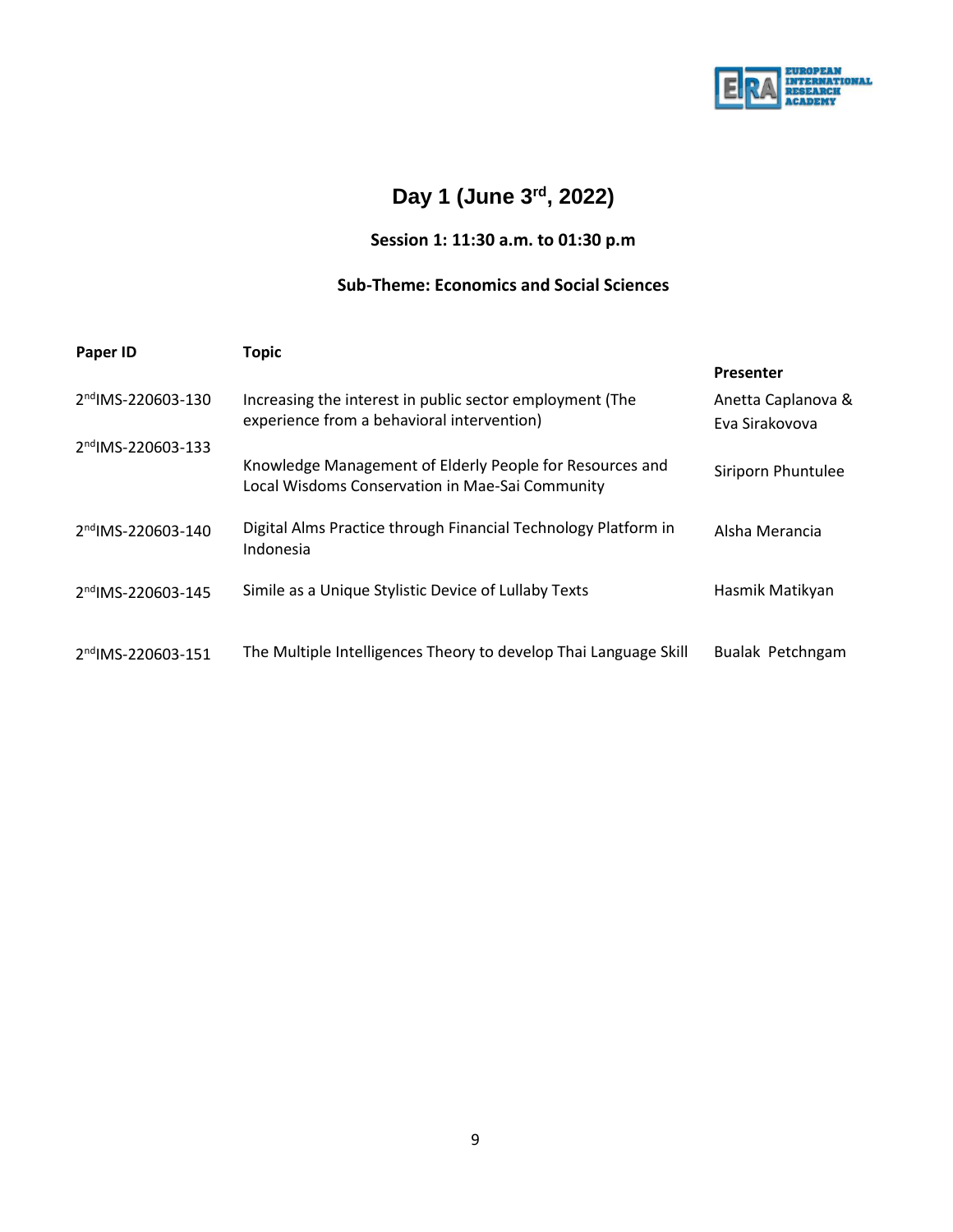

# **Day 1 (June 3rd, 2022)**

## **Session 1: 11:30 a.m. to 01:30 p.m**

## **Sub-Theme: Economics and Social Sciences**

| Paper ID                       | <b>Topic</b>                                                                                                |                                      |  |  |
|--------------------------------|-------------------------------------------------------------------------------------------------------------|--------------------------------------|--|--|
|                                |                                                                                                             | <b>Presenter</b>                     |  |  |
| 2nd IMS-220603-130             | Increasing the interest in public sector employment (The<br>experience from a behavioral intervention)      | Anetta Caplanova &<br>Eva Sirakovova |  |  |
| 2 <sup>nd</sup> IMS-220603-133 | Knowledge Management of Elderly People for Resources and<br>Local Wisdoms Conservation in Mae-Sai Community | Siriporn Phuntulee                   |  |  |
| 2 <sup>nd</sup> IMS-220603-140 | Digital Alms Practice through Financial Technology Platform in<br>Indonesia                                 | Alsha Merancia                       |  |  |
| 2 <sup>nd</sup> IMS-220603-145 | Simile as a Unique Stylistic Device of Lullaby Texts                                                        | Hasmik Matikyan                      |  |  |
| 2 <sup>nd</sup> IMS-220603-151 | The Multiple Intelligences Theory to develop Thai Language Skill                                            | Bualak Petchngam                     |  |  |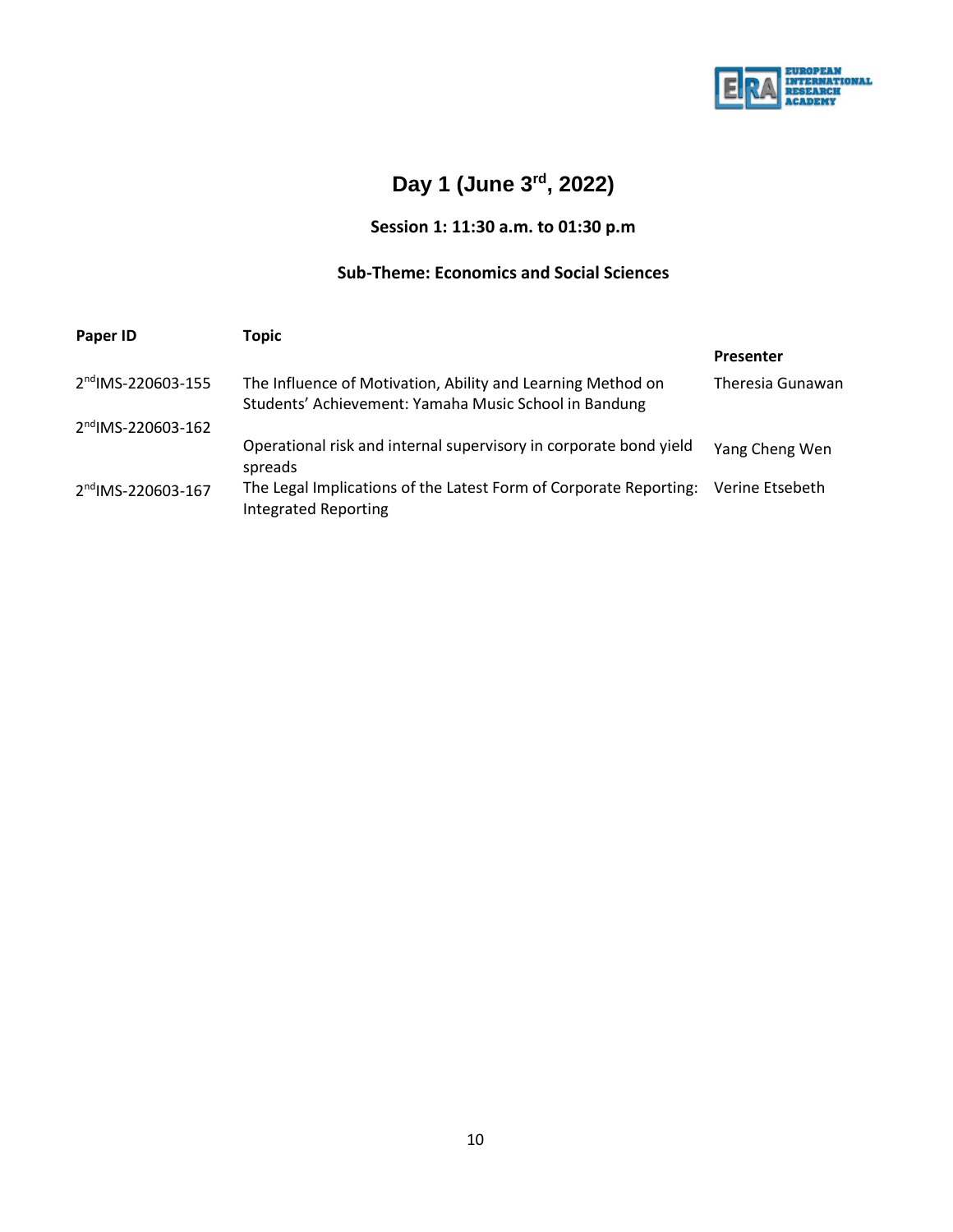

# **Day 1 (June 3rd, 2022)**

## **Session 1: 11:30 a.m. to 01:30 p.m**

## **Sub-Theme: Economics and Social Sciences**

| Paper ID                       | Topic                                                                                                                |                  |  |
|--------------------------------|----------------------------------------------------------------------------------------------------------------------|------------------|--|
|                                |                                                                                                                      | <b>Presenter</b> |  |
| 2 <sup>nd</sup> IMS-220603-155 | The Influence of Motivation, Ability and Learning Method on<br>Students' Achievement: Yamaha Music School in Bandung | Theresia Gunawan |  |
| 2nd IMS-220603-162             |                                                                                                                      |                  |  |
|                                | Operational risk and internal supervisory in corporate bond yield<br>spreads                                         | Yang Cheng Wen   |  |
| 2nd IMS-220603-167             | The Legal Implications of the Latest Form of Corporate Reporting:<br><b>Integrated Reporting</b>                     | Verine Etsebeth  |  |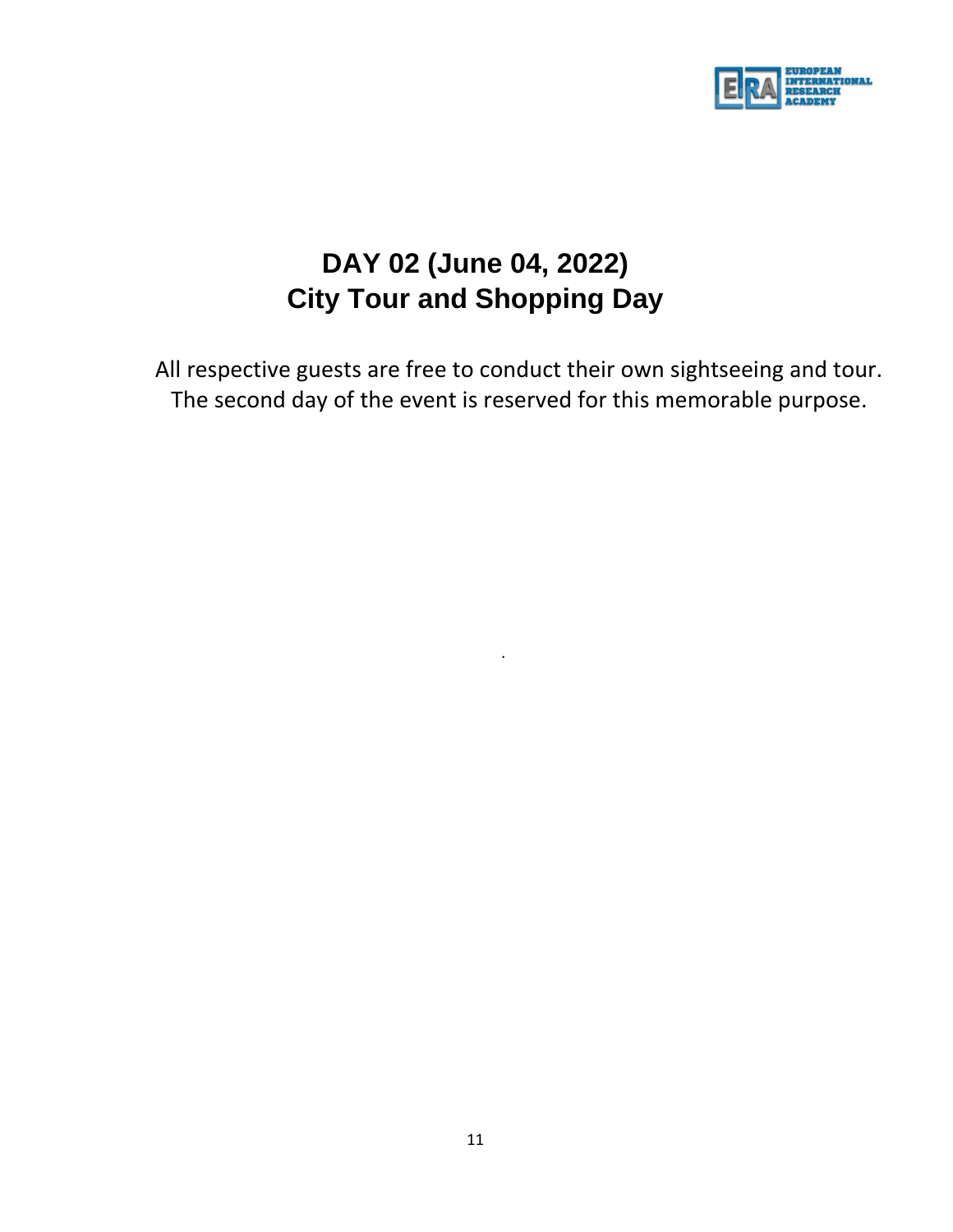

# **DAY 02 (June 04, 2022) City Tour and Shopping Day**

All respective guests are free to conduct their own sightseeing and tour. The second day of the event is reserved for this memorable purpose.

.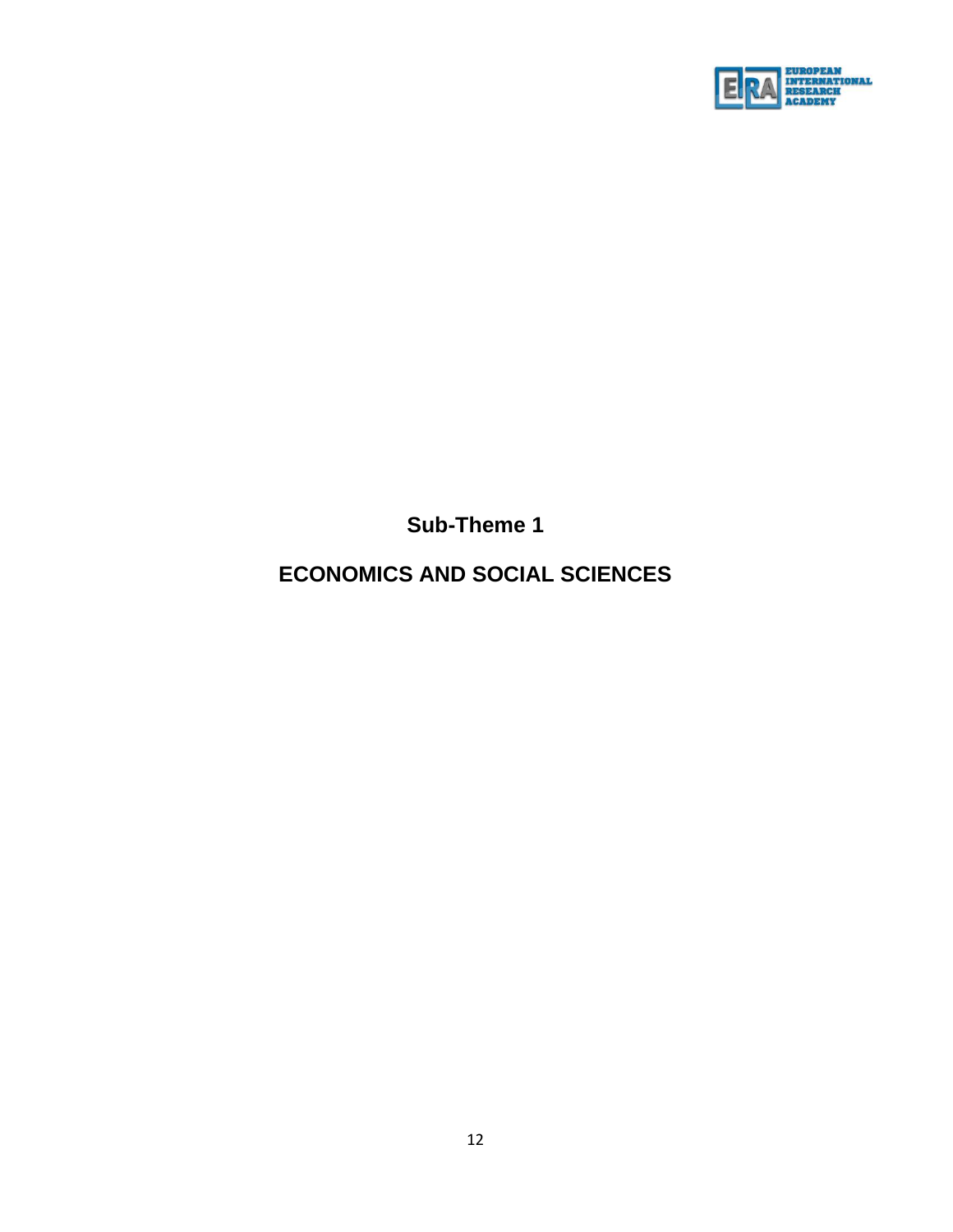

**Sub-Theme 1**

# **ECONOMICS AND SOCIAL SCIENCES**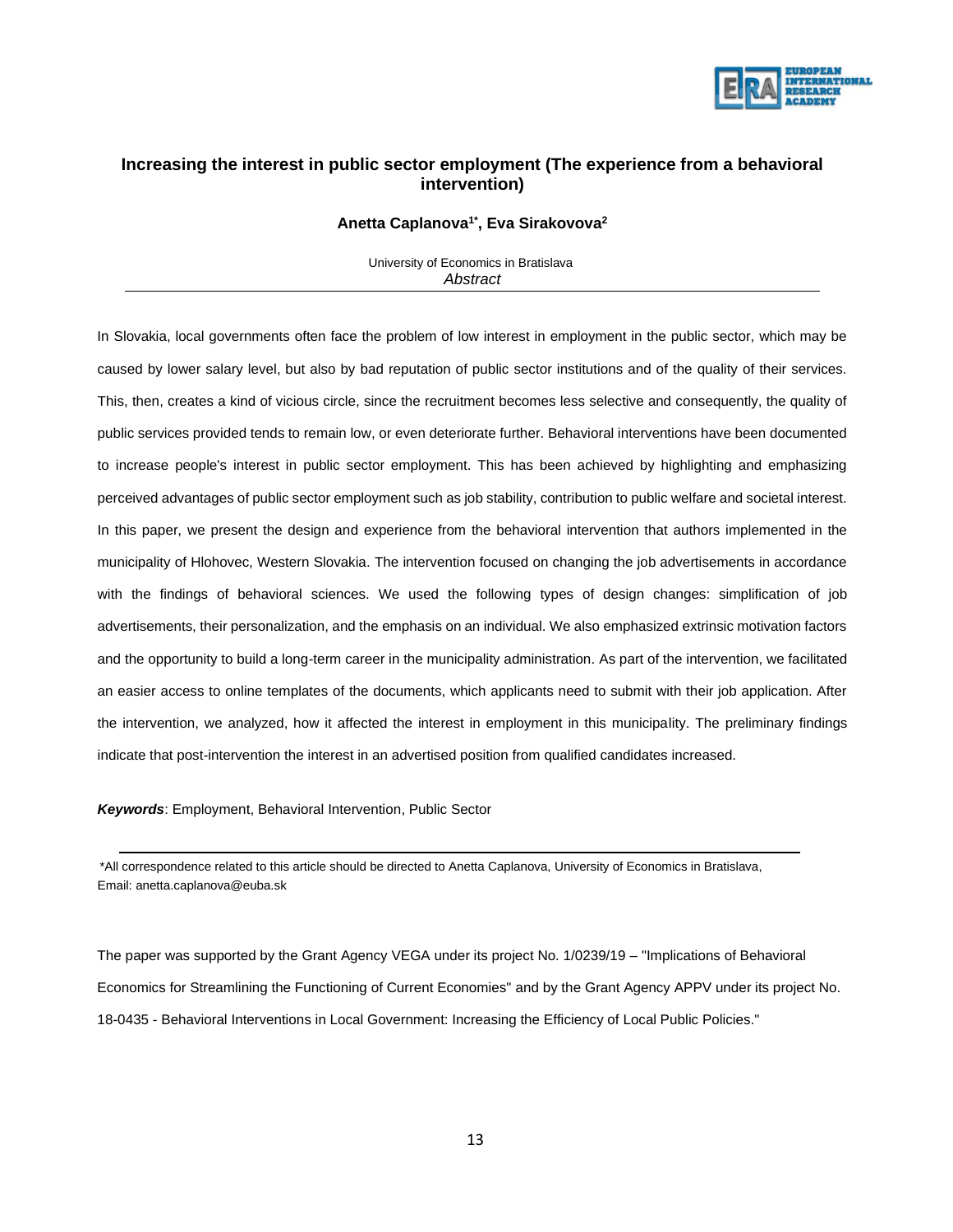

### **Increasing the interest in public sector employment (The experience from a behavioral intervention)**

#### **Anetta Caplanova1\* , Eva Sirakovova<sup>2</sup>**

University of Economics in Bratislava *Abstract*

In Slovakia, local governments often face the problem of low interest in employment in the public sector, which may be caused by lower salary level, but also by bad reputation of public sector institutions and of the quality of their services. This, then, creates a kind of vicious circle, since the recruitment becomes less selective and consequently, the quality of public services provided tends to remain low, or even deteriorate further. Behavioral interventions have been documented to increase people's interest in public sector employment. This has been achieved by highlighting and emphasizing perceived advantages of public sector employment such as job stability, contribution to public welfare and societal interest. In this paper, we present the design and experience from the behavioral intervention that authors implemented in the municipality of Hlohovec, Western Slovakia. The intervention focused on changing the job advertisements in accordance with the findings of behavioral sciences. We used the following types of design changes: simplification of job advertisements, their personalization, and the emphasis on an individual. We also emphasized extrinsic motivation factors and the opportunity to build a long-term career in the municipality administration. As part of the intervention, we facilitated an easier access to online templates of the documents, which applicants need to submit with their job application. After the intervention, we analyzed, how it affected the interest in employment in this municipality. The preliminary findings indicate that post-intervention the interest in an advertised position from qualified candidates increased.

*Keywords*: Employment, Behavioral Intervention, Public Sector

 \*All correspondence related to this article should be directed to Anetta Caplanova, University of Economics in Bratislava, Email: anetta.caplanova@euba.sk

The paper was supported by the Grant Agency VEGA under its project No. 1/0239/19 – "Implications of Behavioral Economics for Streamlining the Functioning of Current Economies" and by the Grant Agency APPV under its project No. 18-0435 - Behavioral Interventions in Local Government: Increasing the Efficiency of Local Public Policies."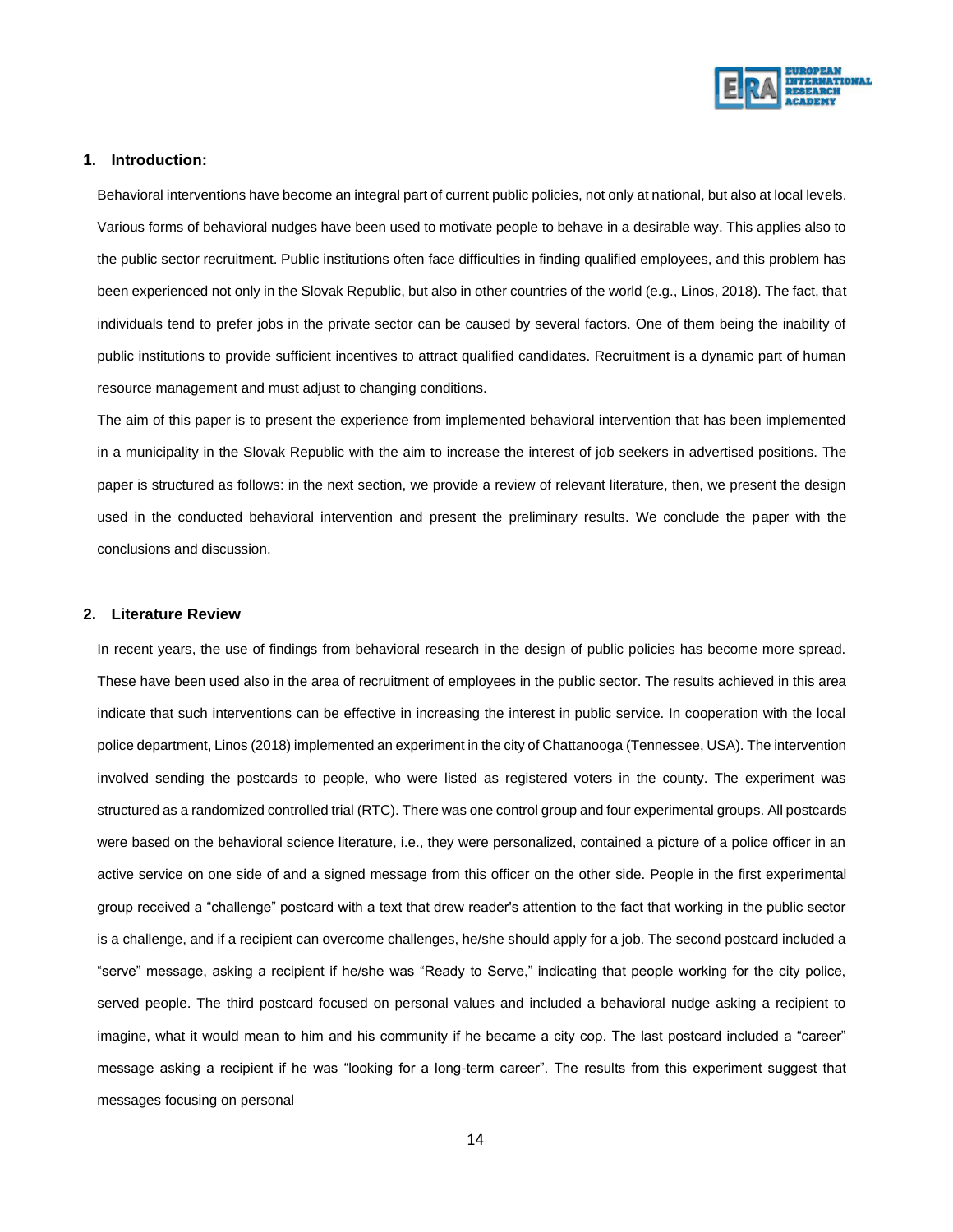

#### **1. Introduction:**

Behavioral interventions have become an integral part of current public policies, not only at national, but also at local levels. Various forms of behavioral nudges have been used to motivate people to behave in a desirable way. This applies also to the public sector recruitment. Public institutions often face difficulties in finding qualified employees, and this problem has been experienced not only in the Slovak Republic, but also in other countries of the world (e.g., Linos, 2018). The fact, that individuals tend to prefer jobs in the private sector can be caused by several factors. One of them being the inability of public institutions to provide sufficient incentives to attract qualified candidates. Recruitment is a dynamic part of human resource management and must adjust to changing conditions.

The aim of this paper is to present the experience from implemented behavioral intervention that has been implemented in a municipality in the Slovak Republic with the aim to increase the interest of job seekers in advertised positions. The paper is structured as follows: in the next section, we provide a review of relevant literature, then, we present the design used in the conducted behavioral intervention and present the preliminary results. We conclude the paper with the conclusions and discussion.

#### **2. Literature Review**

In recent years, the use of findings from behavioral research in the design of public policies has become more spread. These have been used also in the area of recruitment of employees in the public sector. The results achieved in this area indicate that such interventions can be effective in increasing the interest in public service. In cooperation with the local police department, Linos (2018) implemented an experiment in the city of Chattanooga (Tennessee, USA). The intervention involved sending the postcards to people, who were listed as registered voters in the county. The experiment was structured as a randomized controlled trial (RTC). There was one control group and four experimental groups. All postcards were based on the behavioral science literature, i.e., they were personalized, contained a picture of a police officer in an active service on one side of and a signed message from this officer on the other side. People in the first experimental group received a "challenge" postcard with a text that drew reader's attention to the fact that working in the public sector is a challenge, and if a recipient can overcome challenges, he/she should apply for a job. The second postcard included a "serve" message, asking a recipient if he/she was "Ready to Serve," indicating that people working for the city police, served people. The third postcard focused on personal values and included a behavioral nudge asking a recipient to imagine, what it would mean to him and his community if he became a city cop. The last postcard included a "career" message asking a recipient if he was "looking for a long-term career". The results from this experiment suggest that messages focusing on personal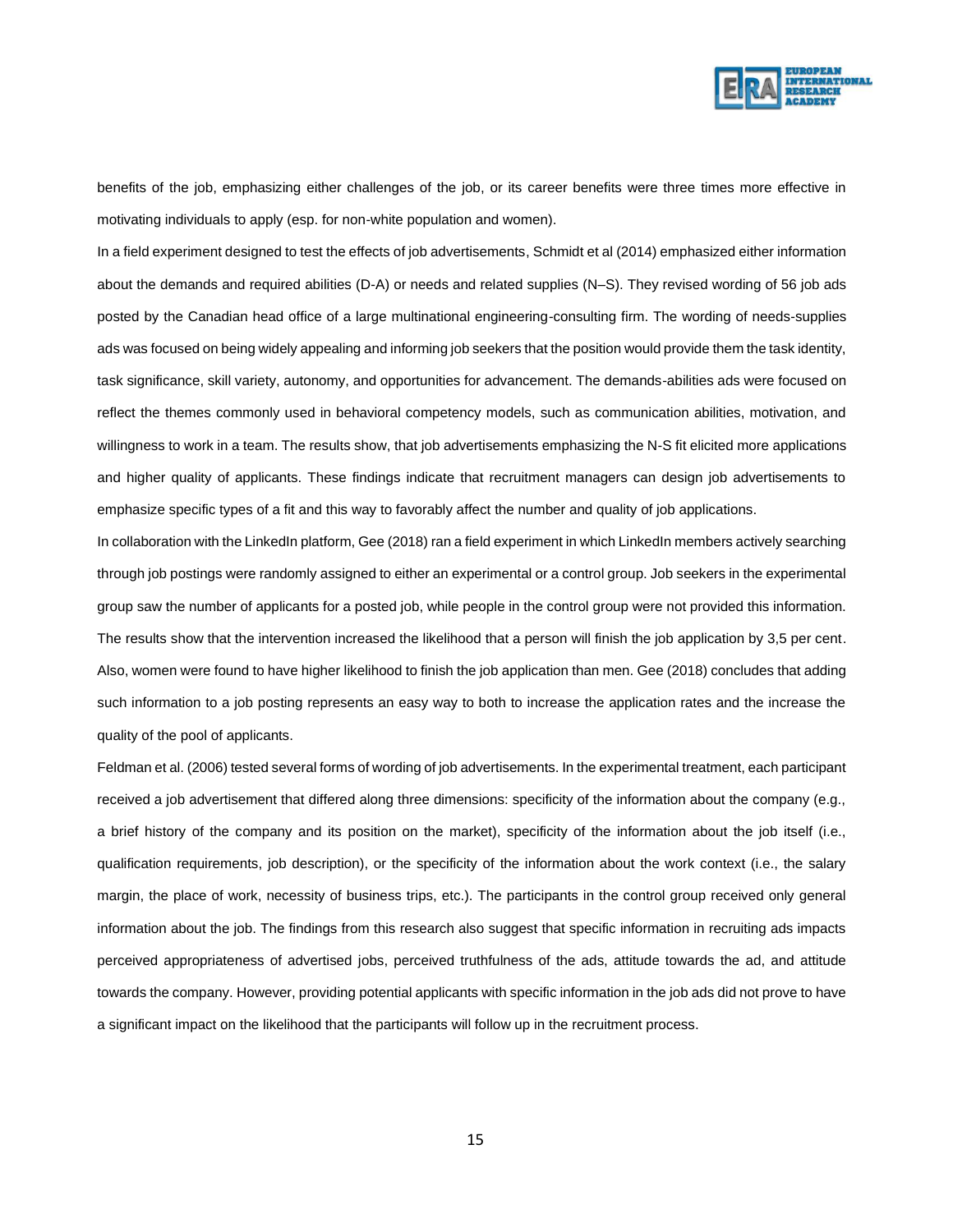

benefits of the job, emphasizing either challenges of the job, or its career benefits were three times more effective in motivating individuals to apply (esp. for non-white population and women).

In a field experiment designed to test the effects of job advertisements, Schmidt et al (2014) emphasized either information about the demands and required abilities (D-A) or needs and related supplies (N–S). They revised wording of 56 job ads posted by the Canadian head office of a large multinational engineering-consulting firm. The wording of needs-supplies ads was focused on being widely appealing and informing job seekers that the position would provide them the task identity, task significance, skill variety, autonomy, and opportunities for advancement. The demands-abilities ads were focused on reflect the themes commonly used in behavioral competency models, such as communication abilities, motivation, and willingness to work in a team. The results show, that job advertisements emphasizing the N-S fit elicited more applications and higher quality of applicants. These findings indicate that recruitment managers can design job advertisements to emphasize specific types of a fit and this way to favorably affect the number and quality of job applications.

In collaboration with the LinkedIn platform, Gee (2018) ran a field experiment in which LinkedIn members actively searching through job postings were randomly assigned to either an experimental or a control group. Job seekers in the experimental group saw the number of applicants for a posted job, while people in the control group were not provided this information. The results show that the intervention increased the likelihood that a person will finish the job application by 3,5 per cent. Also, women were found to have higher likelihood to finish the job application than men. Gee (2018) concludes that adding such information to a job posting represents an easy way to both to increase the application rates and the increase the quality of the pool of applicants.

Feldman et al. (2006) tested several forms of wording of job advertisements. In the experimental treatment, each participant received a job advertisement that differed along three dimensions: specificity of the information about the company (e.g., a brief history of the company and its position on the market), specificity of the information about the job itself (i.e., qualification requirements, job description), or the specificity of the information about the work context (i.e., the salary margin, the place of work, necessity of business trips, etc.). The participants in the control group received only general information about the job. The findings from this research also suggest that specific information in recruiting ads impacts perceived appropriateness of advertised jobs, perceived truthfulness of the ads, attitude towards the ad, and attitude towards the company. However, providing potential applicants with specific information in the job ads did not prove to have a significant impact on the likelihood that the participants will follow up in the recruitment process.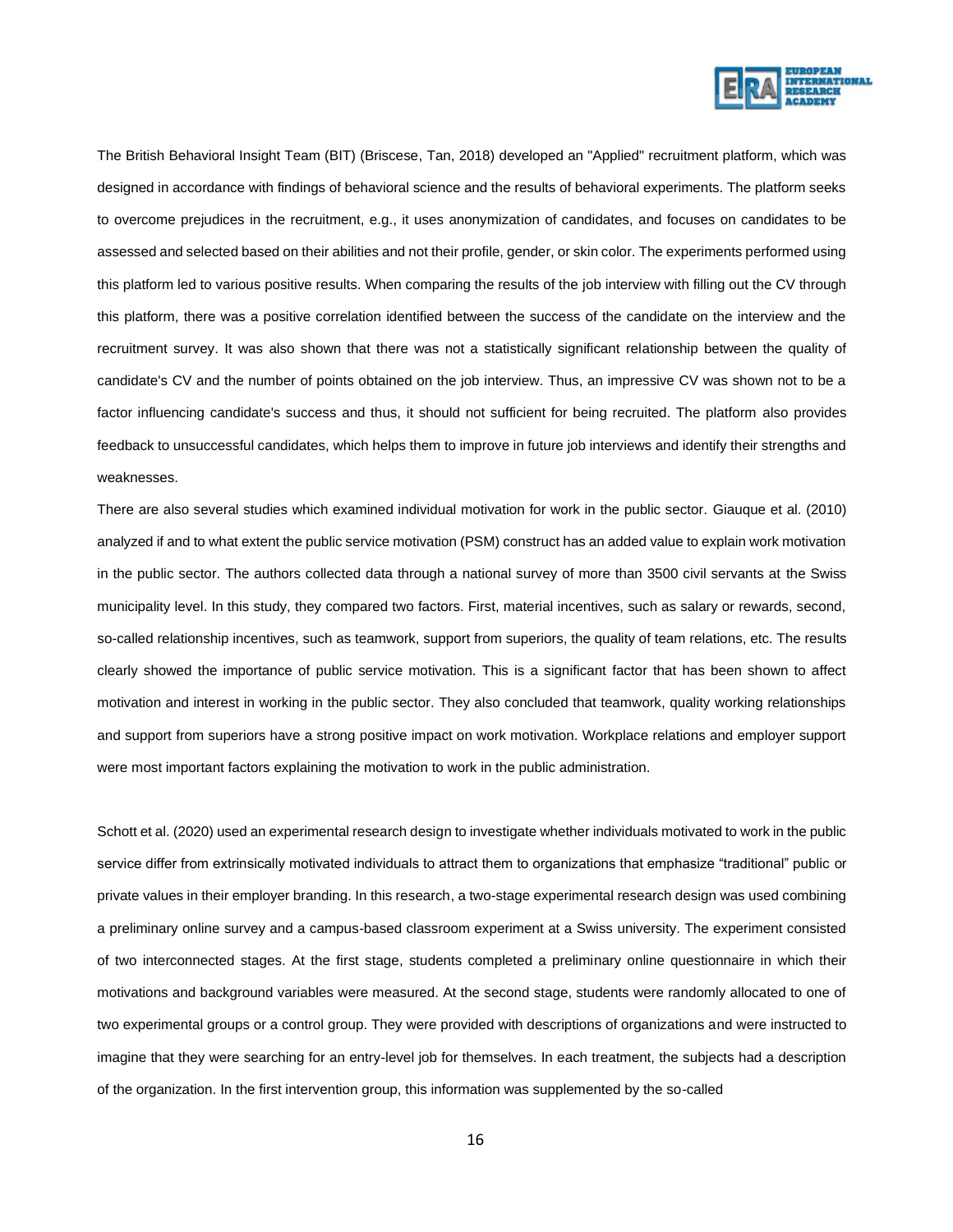

The British Behavioral Insight Team (BIT) (Briscese, Tan, 2018) developed an "Applied" recruitment platform, which was designed in accordance with findings of behavioral science and the results of behavioral experiments. The platform seeks to overcome prejudices in the recruitment, e.g., it uses anonymization of candidates, and focuses on candidates to be assessed and selected based on their abilities and not their profile, gender, or skin color. The experiments performed using this platform led to various positive results. When comparing the results of the job interview with filling out the CV through this platform, there was a positive correlation identified between the success of the candidate on the interview and the recruitment survey. It was also shown that there was not a statistically significant relationship between the quality of candidate's CV and the number of points obtained on the job interview. Thus, an impressive CV was shown not to be a factor influencing candidate's success and thus, it should not sufficient for being recruited. The platform also provides feedback to unsuccessful candidates, which helps them to improve in future job interviews and identify their strengths and weaknesses.

There are also several studies which examined individual motivation for work in the public sector. Giauque et al. (2010) analyzed if and to what extent the public service motivation (PSM) construct has an added value to explain work motivation in the public sector. The authors collected data through a national survey of more than 3500 civil servants at the Swiss municipality level. In this study, they compared two factors. First, material incentives, such as salary or rewards, second, so-called relationship incentives, such as teamwork, support from superiors, the quality of team relations, etc. The results clearly showed the importance of public service motivation. This is a significant factor that has been shown to affect motivation and interest in working in the public sector. They also concluded that teamwork, quality working relationships and support from superiors have a strong positive impact on work motivation. Workplace relations and employer support were most important factors explaining the motivation to work in the public administration.

Schott et al. (2020) used an experimental research design to investigate whether individuals motivated to work in the public service differ from extrinsically motivated individuals to attract them to organizations that emphasize "traditional" public or private values in their employer branding. In this research, a two-stage experimental research design was used combining a preliminary online survey and a campus-based classroom experiment at a Swiss university. The experiment consisted of two interconnected stages. At the first stage, students completed a preliminary online questionnaire in which their motivations and background variables were measured. At the second stage, students were randomly allocated to one of two experimental groups or a control group. They were provided with descriptions of organizations and were instructed to imagine that they were searching for an entry-level job for themselves. In each treatment, the subjects had a description of the organization. In the first intervention group, this information was supplemented by the so-called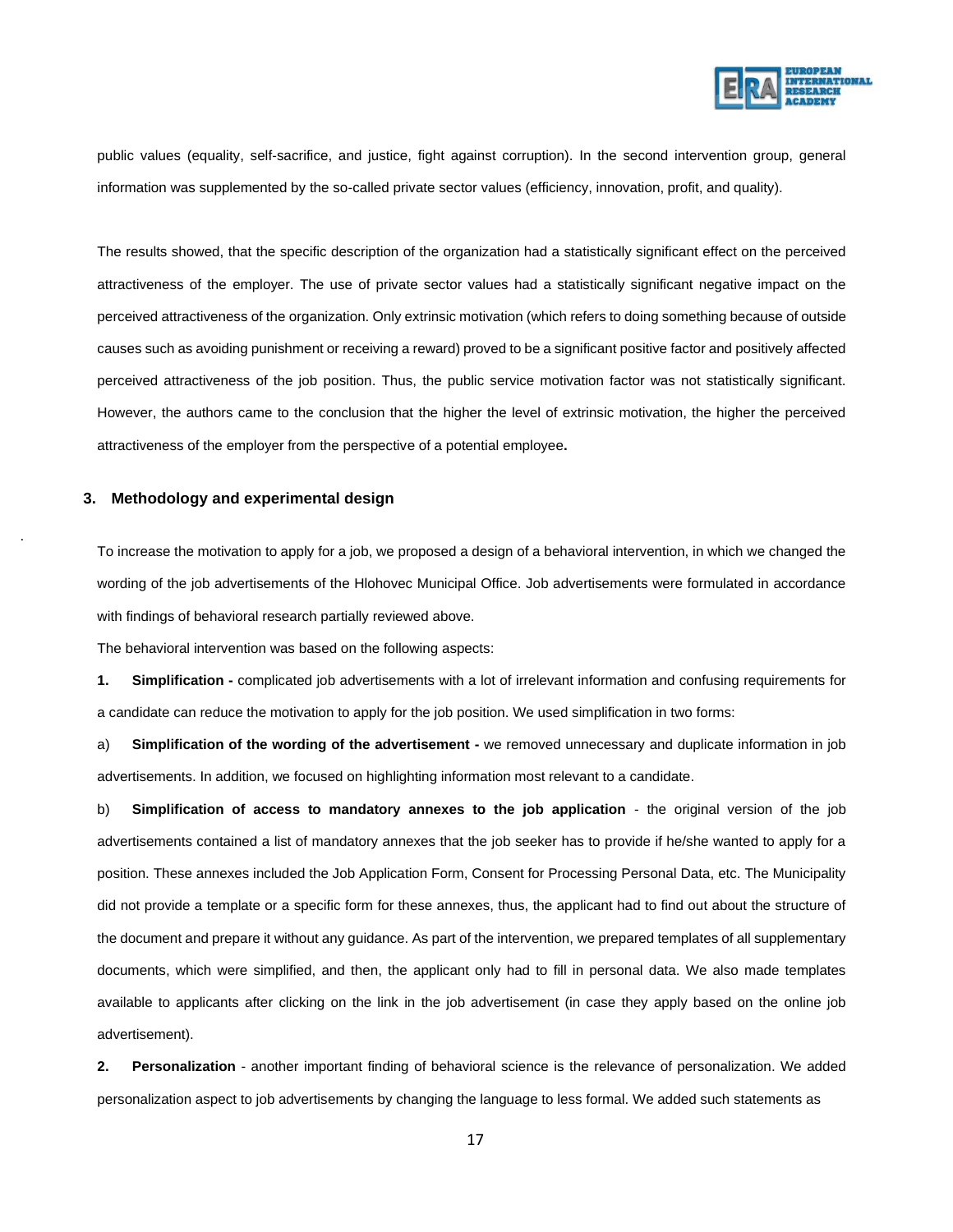

public values (equality, self-sacrifice, and justice, fight against corruption). In the second intervention group, general information was supplemented by the so-called private sector values (efficiency, innovation, profit, and quality).

The results showed, that the specific description of the organization had a statistically significant effect on the perceived attractiveness of the employer. The use of private sector values had a statistically significant negative impact on the perceived attractiveness of the organization. Only extrinsic motivation (which refers to doing something because of outside causes such as avoiding punishment or receiving a reward) proved to be a significant positive factor and positively affected perceived attractiveness of the job position. Thus, the public service motivation factor was not statistically significant. However, the authors came to the conclusion that the higher the level of extrinsic motivation, the higher the perceived attractiveness of the employer from the perspective of a potential employee**.**

#### **3. Methodology and experimental design**

.

To increase the motivation to apply for a job, we proposed a design of a behavioral intervention, in which we changed the wording of the job advertisements of the Hlohovec Municipal Office. Job advertisements were formulated in accordance with findings of behavioral research partially reviewed above.

The behavioral intervention was based on the following aspects:

**1. Simplification -** complicated job advertisements with a lot of irrelevant information and confusing requirements for a candidate can reduce the motivation to apply for the job position. We used simplification in two forms:

a) **Simplification of the wording of the advertisement -** we removed unnecessary and duplicate information in job advertisements. In addition, we focused on highlighting information most relevant to a candidate.

b) **Simplification of access to mandatory annexes to the job application** - the original version of the job advertisements contained a list of mandatory annexes that the job seeker has to provide if he/she wanted to apply for a position. These annexes included the Job Application Form, Consent for Processing Personal Data, etc. The Municipality did not provide a template or a specific form for these annexes, thus, the applicant had to find out about the structure of the document and prepare it without any guidance. As part of the intervention, we prepared templates of all supplementary documents, which were simplified, and then, the applicant only had to fill in personal data. We also made templates available to applicants after clicking on the link in the job advertisement (in case they apply based on the online job advertisement).

**2. Personalization** - another important finding of behavioral science is the relevance of personalization. We added personalization aspect to job advertisements by changing the language to less formal. We added such statements as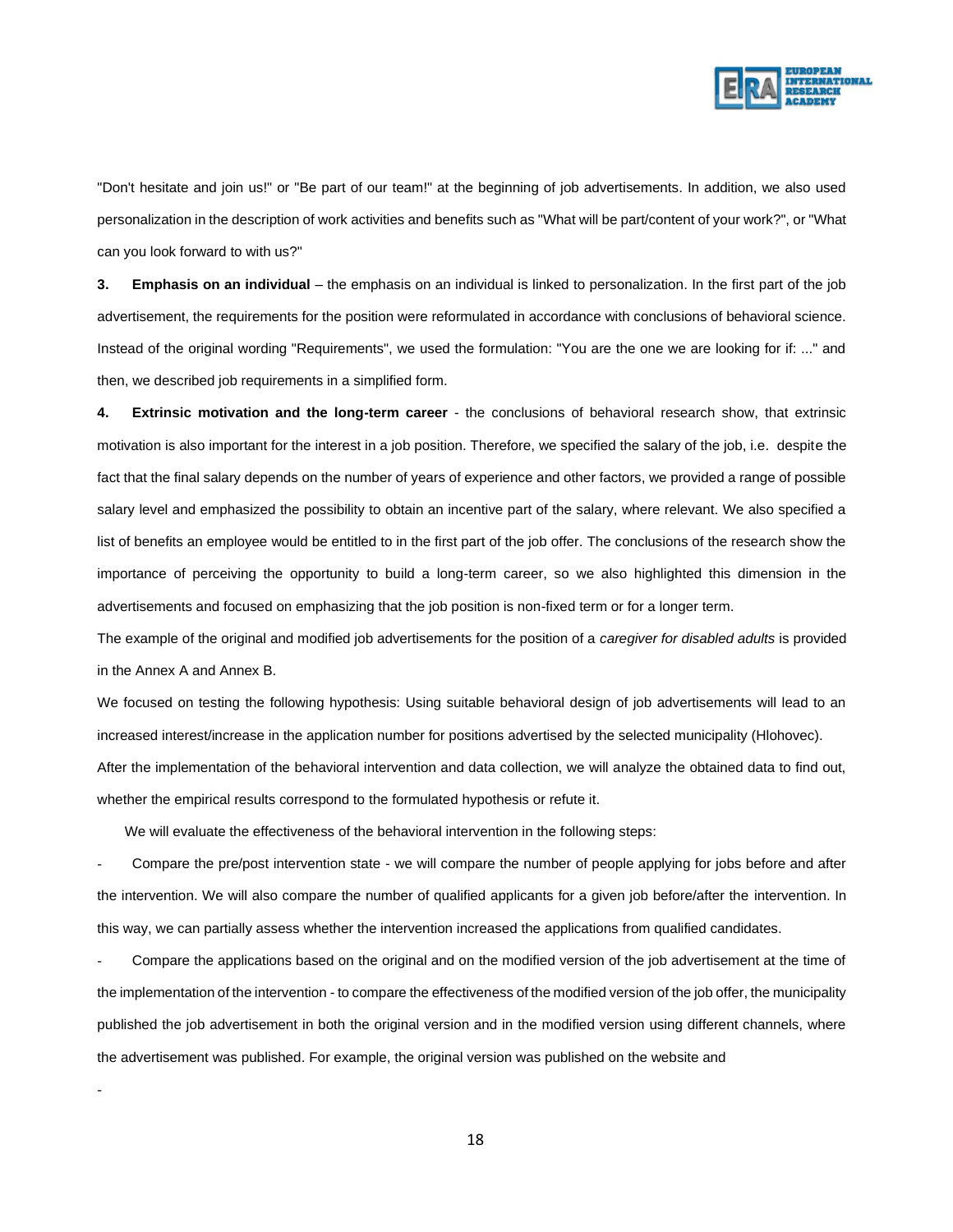

"Don't hesitate and join us!" or "Be part of our team!" at the beginning of job advertisements. In addition, we also used personalization in the description of work activities and benefits such as "What will be part/content of your work?", or "What can you look forward to with us?"

**3. Emphasis on an individual** – the emphasis on an individual is linked to personalization. In the first part of the job advertisement, the requirements for the position were reformulated in accordance with conclusions of behavioral science. Instead of the original wording "Requirements", we used the formulation: "You are the one we are looking for if: ..." and then, we described job requirements in a simplified form.

**4. Extrinsic motivation and the long-term career** - the conclusions of behavioral research show, that extrinsic motivation is also important for the interest in a job position. Therefore, we specified the salary of the job, i.e. despite the fact that the final salary depends on the number of years of experience and other factors, we provided a range of possible salary level and emphasized the possibility to obtain an incentive part of the salary, where relevant. We also specified a list of benefits an employee would be entitled to in the first part of the job offer. The conclusions of the research show the importance of perceiving the opportunity to build a long-term career, so we also highlighted this dimension in the advertisements and focused on emphasizing that the job position is non-fixed term or for a longer term.

The example of the original and modified job advertisements for the position of a *caregiver for disabled adults* is provided in the Annex A and Annex B.

We focused on testing the following hypothesis: Using suitable behavioral design of job advertisements will lead to an increased interest/increase in the application number for positions advertised by the selected municipality (Hlohovec).

After the implementation of the behavioral intervention and data collection, we will analyze the obtained data to find out, whether the empirical results correspond to the formulated hypothesis or refute it.

We will evaluate the effectiveness of the behavioral intervention in the following steps:

-

- Compare the pre/post intervention state - we will compare the number of people applying for jobs before and after the intervention. We will also compare the number of qualified applicants for a given job before/after the intervention. In this way, we can partially assess whether the intervention increased the applications from qualified candidates.

- Compare the applications based on the original and on the modified version of the job advertisement at the time of the implementation of the intervention - to compare the effectiveness of the modified version of the job offer, the municipality published the job advertisement in both the original version and in the modified version using different channels, where the advertisement was published. For example, the original version was published on the website and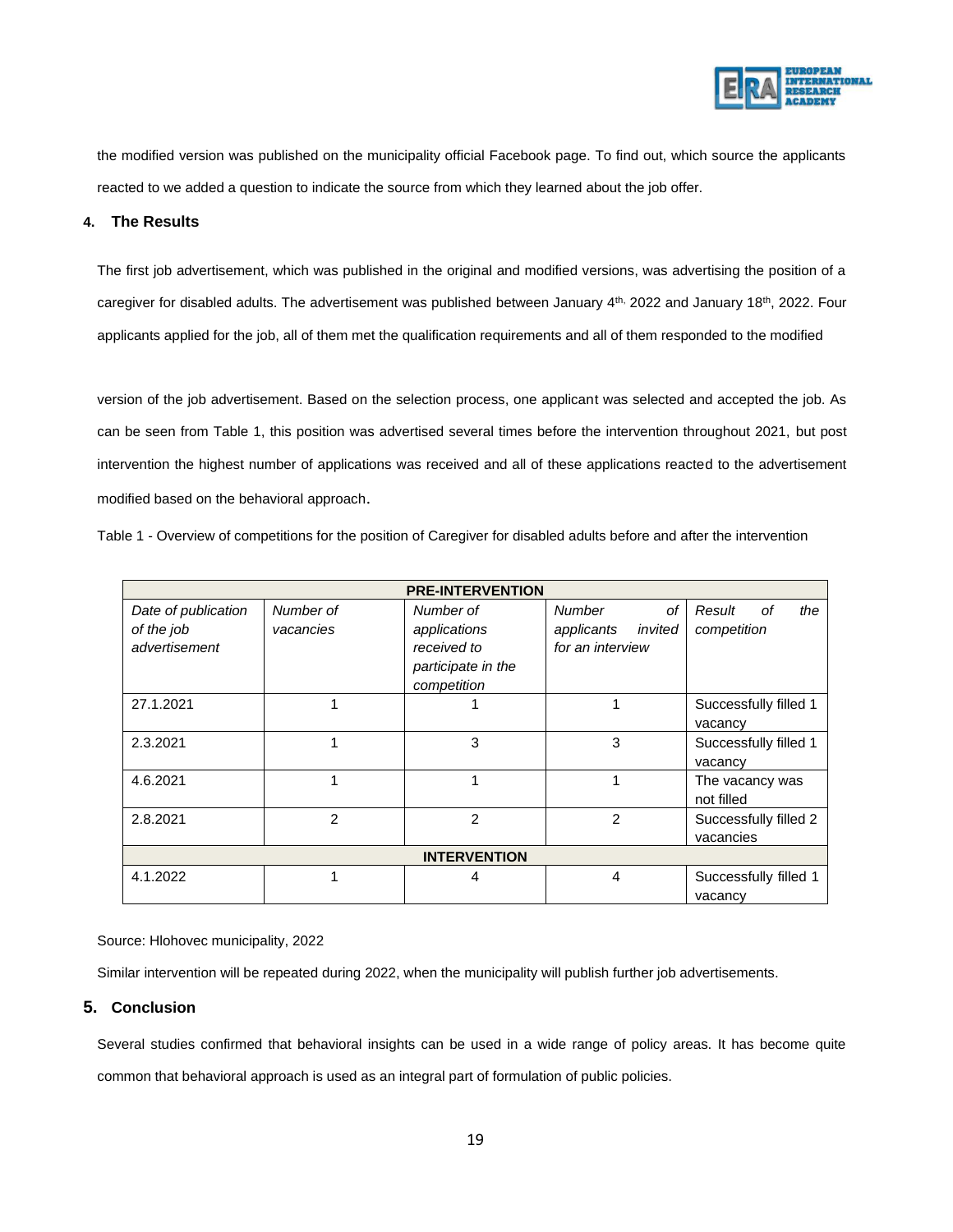

the modified version was published on the municipality official Facebook page. To find out, which source the applicants reacted to we added a question to indicate the source from which they learned about the job offer.

#### **4. The Results**

The first job advertisement, which was published in the original and modified versions, was advertising the position of a caregiver for disabled adults. The advertisement was published between January  $4<sup>th</sup>$ , 2022 and January 18<sup>th</sup>, 2022. Four applicants applied for the job, all of them met the qualification requirements and all of them responded to the modified

version of the job advertisement. Based on the selection process, one applicant was selected and accepted the job. As can be seen from Table 1, this position was advertised several times before the intervention throughout 2021, but post intervention the highest number of applications was received and all of these applications reacted to the advertisement modified based on the behavioral approach.

Table 1 - Overview of competitions for the position of Caregiver for disabled adults before and after the intervention

| <b>PRE-INTERVENTION</b> |                |                    |                       |                       |
|-------------------------|----------------|--------------------|-----------------------|-----------------------|
| Date of publication     | Number of      | Number of          | <b>Number</b><br>of   | Result<br>the<br>οf   |
| of the job              | vacancies      | applications       | applicants<br>invited | competition           |
| advertisement           |                | received to        | for an interview      |                       |
|                         |                | participate in the |                       |                       |
|                         |                | competition        |                       |                       |
| 27.1.2021               |                |                    |                       | Successfully filled 1 |
|                         |                |                    |                       | vacancy               |
| 2.3.2021                |                | 3                  | 3                     | Successfully filled 1 |
|                         |                |                    |                       | vacancy               |
| 4.6.2021                |                |                    |                       | The vacancy was       |
|                         |                |                    |                       | not filled            |
| 2.8.2021                | $\mathfrak{p}$ | $\mathcal{P}$      | $\mathfrak{p}$        | Successfully filled 2 |
|                         |                |                    |                       | vacancies             |
| <b>INTERVENTION</b>     |                |                    |                       |                       |
| 4.1.2022                |                | 4                  | 4                     | Successfully filled 1 |
|                         |                |                    |                       | vacancy               |

Source: Hlohovec municipality, 2022

Similar intervention will be repeated during 2022, when the municipality will publish further job advertisements.

#### **5. Conclusion**

Several studies confirmed that behavioral insights can be used in a wide range of policy areas. It has become quite common that behavioral approach is used as an integral part of formulation of public policies.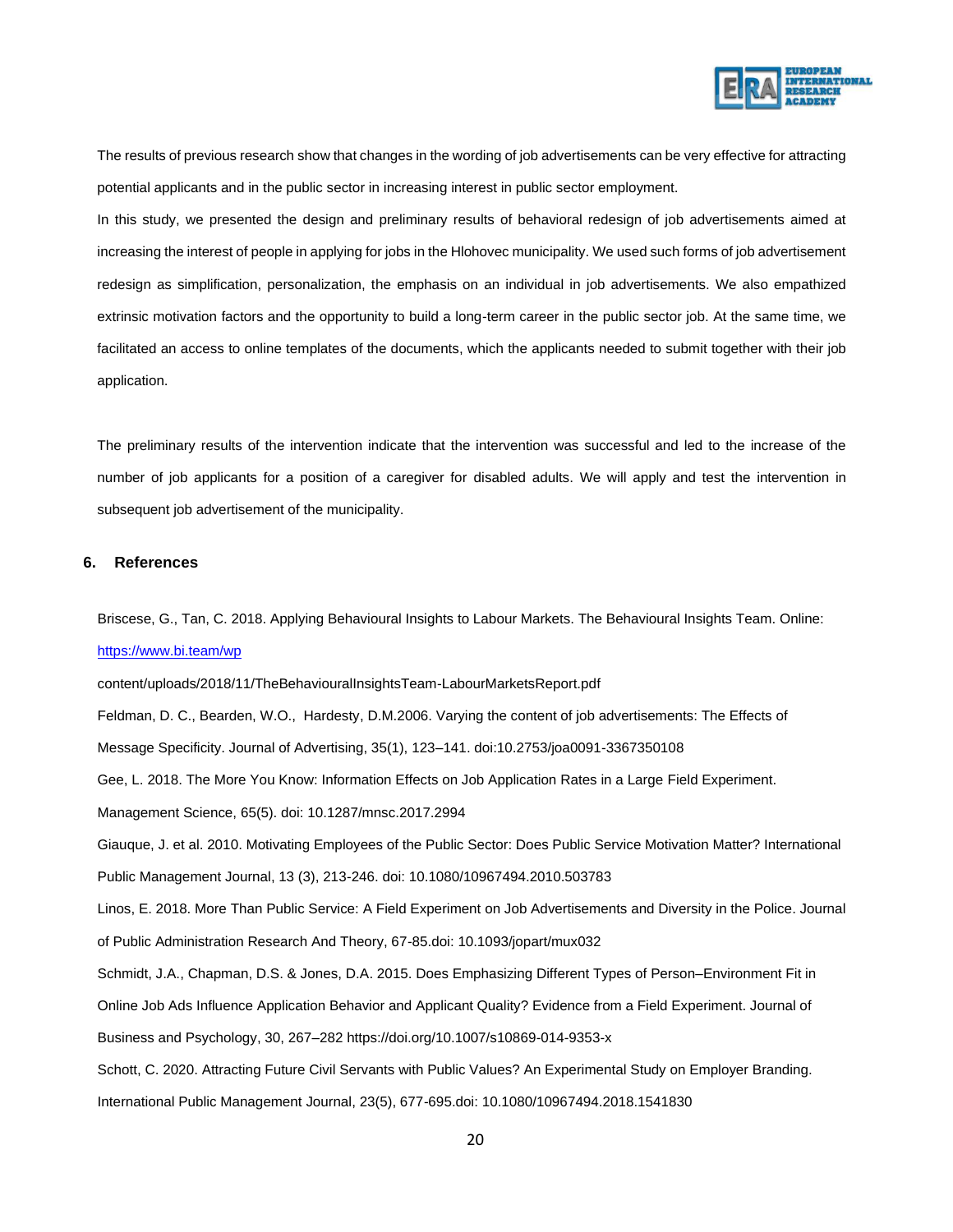

The results of previous research show that changes in the wording of job advertisements can be very effective for attracting potential applicants and in the public sector in increasing interest in public sector employment.

In this study, we presented the design and preliminary results of behavioral redesign of job advertisements aimed at increasing the interest of people in applying for jobs in the Hlohovec municipality. We used such forms of job advertisement redesign as simplification, personalization, the emphasis on an individual in job advertisements. We also empathized extrinsic motivation factors and the opportunity to build a long-term career in the public sector job. At the same time, we facilitated an access to online templates of the documents, which the applicants needed to submit together with their job application.

The preliminary results of the intervention indicate that the intervention was successful and led to the increase of the number of job applicants for a position of a caregiver for disabled adults. We will apply and test the intervention in subsequent job advertisement of the municipality.

#### **6. References**

Briscese, G., Tan, C. 2018. Applying Behavioural Insights to Labour Markets. The Behavioural Insights Team. Online: <https://www.bi.team/wp>

content/uploads/2018/11/TheBehaviouralInsightsTeam-LabourMarketsReport.pdf

Feldman, D. C., Bearden, W.O., Hardesty, D.M.2006. Varying the content of job advertisements: The Effects of Message Specificity. Journal of Advertising, 35(1), 123–141. doi:10.2753/joa0091-3367350108

Gee, L. 2018. The More You Know: Information Effects on Job Application Rates in a Large Field Experiment.

Management Science, 65(5). doi: 10.1287/mnsc.2017.2994

Giauque, J. et al. 2010. Motivating Employees of the Public Sector: Does Public Service Motivation Matter? International

Public Management Journal, 13 (3), 213-246. doi: 10.1080/10967494.2010.503783

Linos, E. 2018. More Than Public Service: A Field Experiment on Job Advertisements and Diversity in the Police. Journal of Public Administration Research And Theory, 67-85.doi: 10.1093/jopart/mux032

Schmidt, J.A., Chapman, D.S. & Jones, D.A. 2015. Does Emphasizing Different Types of Person–Environment Fit in

Online Job Ads Influence Application Behavior and Applicant Quality? Evidence from a Field Experiment. Journal of

Business and Psychology, 30, 267–282 https://doi.org/10.1007/s10869-014-9353-x

Schott, C. 2020. Attracting Future Civil Servants with Public Values? An Experimental Study on Employer Branding. International Public Management Journal, 23(5), 677-695.doi: 10.1080/10967494.2018.1541830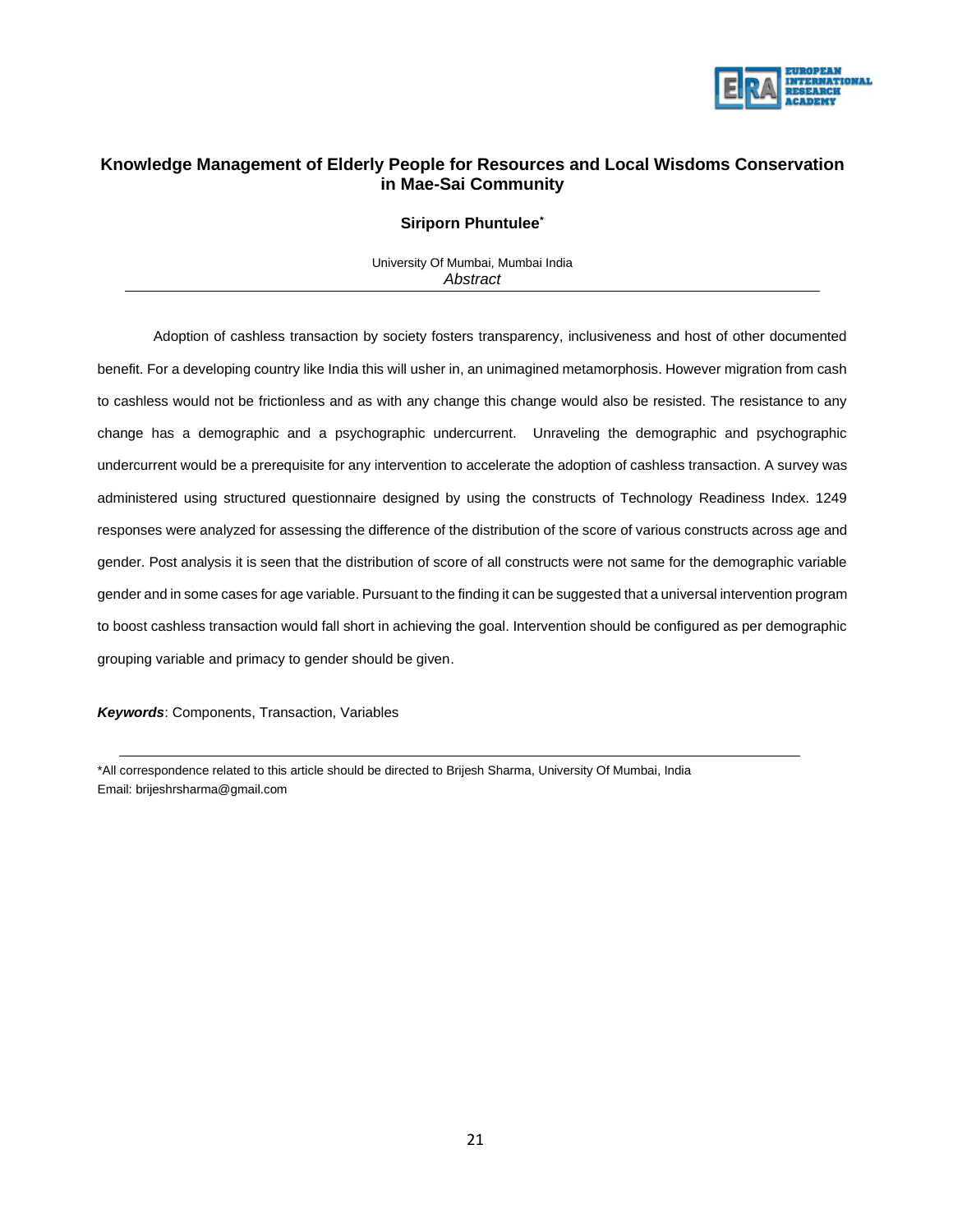

### **Knowledge Management of Elderly People for Resources and Local Wisdoms Conservation in Mae-Sai Community**

#### **Siriporn Phuntulee\***

University Of Mumbai, Mumbai India *Abstract*

Adoption of cashless transaction by society fosters transparency, inclusiveness and host of other documented benefit. For a developing country like India this will usher in, an unimagined metamorphosis. However migration from cash to cashless would not be frictionless and as with any change this change would also be resisted. The resistance to any change has a demographic and a psychographic undercurrent. Unraveling the demographic and psychographic undercurrent would be a prerequisite for any intervention to accelerate the adoption of cashless transaction. A survey was administered using structured questionnaire designed by using the constructs of Technology Readiness Index. 1249 responses were analyzed for assessing the difference of the distribution of the score of various constructs across age and gender. Post analysis it is seen that the distribution of score of all constructs were not same for the demographic variable gender and in some cases for age variable. Pursuant to the finding it can be suggested that a universal intervention program to boost cashless transaction would fall short in achieving the goal. Intervention should be configured as per demographic grouping variable and primacy to gender should be given.

*Keywords*: Components, Transaction, Variables

\*All correspondence related to this article should be directed to Brijesh Sharma, University Of Mumbai, India Email: brijeshrsharma@gmail.com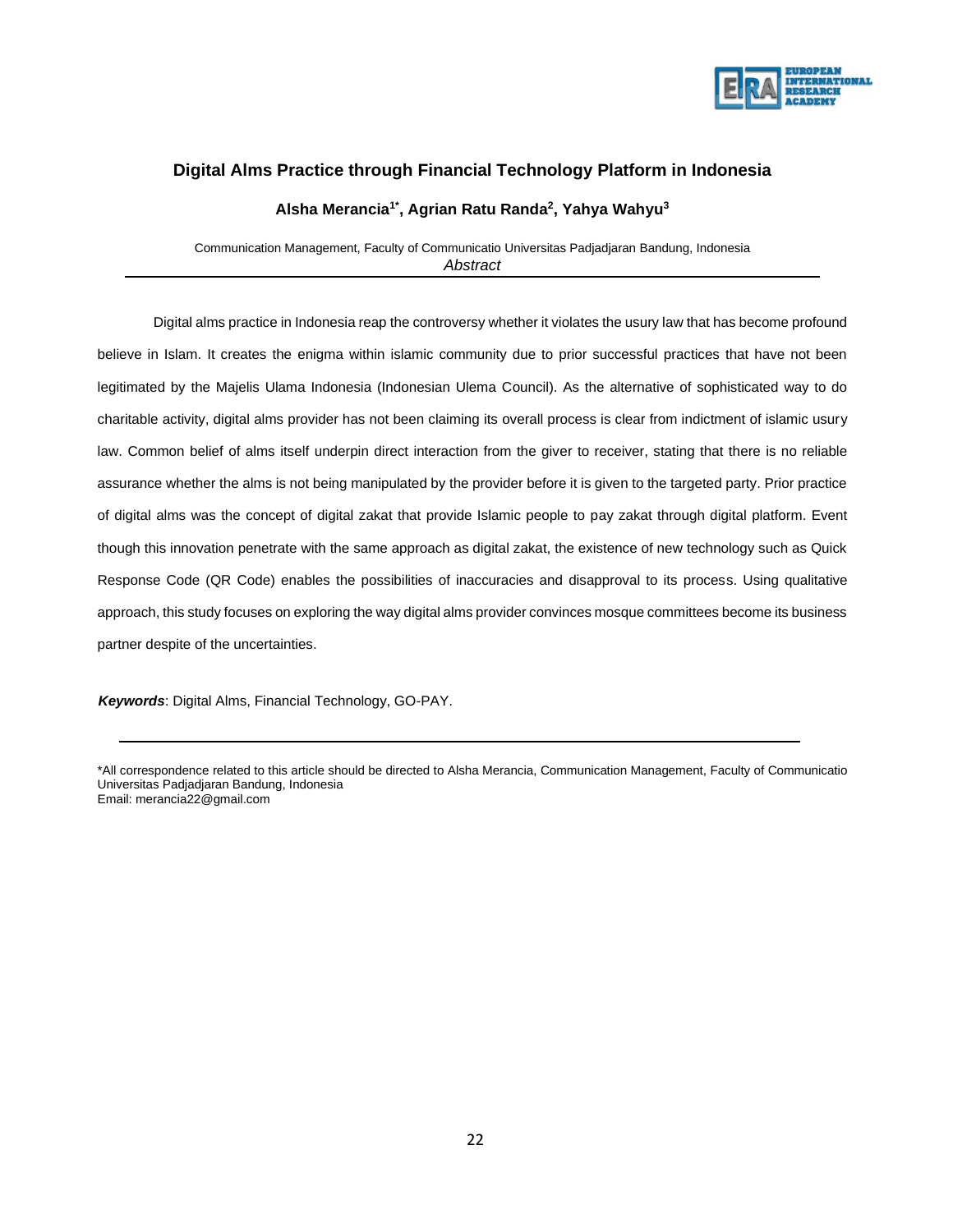

# **Digital Alms Practice through Financial Technology Platform in Indonesia**

#### **Alsha Merancia1\*, Agrian Ratu Randa<sup>2</sup> , Yahya Wahyu<sup>3</sup>**

Communication Management, Faculty of Communicatio Universitas Padjadjaran Bandung, Indonesia *Abstract*

Digital alms practice in Indonesia reap the controversy whether it violates the usury law that has become profound believe in Islam. It creates the enigma within islamic community due to prior successful practices that have not been legitimated by the Majelis Ulama Indonesia (Indonesian Ulema Council). As the alternative of sophisticated way to do charitable activity, digital alms provider has not been claiming its overall process is clear from indictment of islamic usury law. Common belief of alms itself underpin direct interaction from the giver to receiver, stating that there is no reliable assurance whether the alms is not being manipulated by the provider before it is given to the targeted party. Prior practice of digital alms was the concept of digital zakat that provide Islamic people to pay zakat through digital platform. Event though this innovation penetrate with the same approach as digital zakat, the existence of new technology such as Quick Response Code (QR Code) enables the possibilities of inaccuracies and disapproval to its process. Using qualitative approach, this study focuses on exploring the way digital alms provider convinces mosque committees become its business partner despite of the uncertainties.

 *Keywords*: Digital Alms, Financial Technology, GO-PAY.

\*All correspondence related to this article should be directed to Alsha Merancia, Communication Management, Faculty of Communicatio Universitas Padjadjaran Bandung, Indonesia Email: merancia22@gmail.com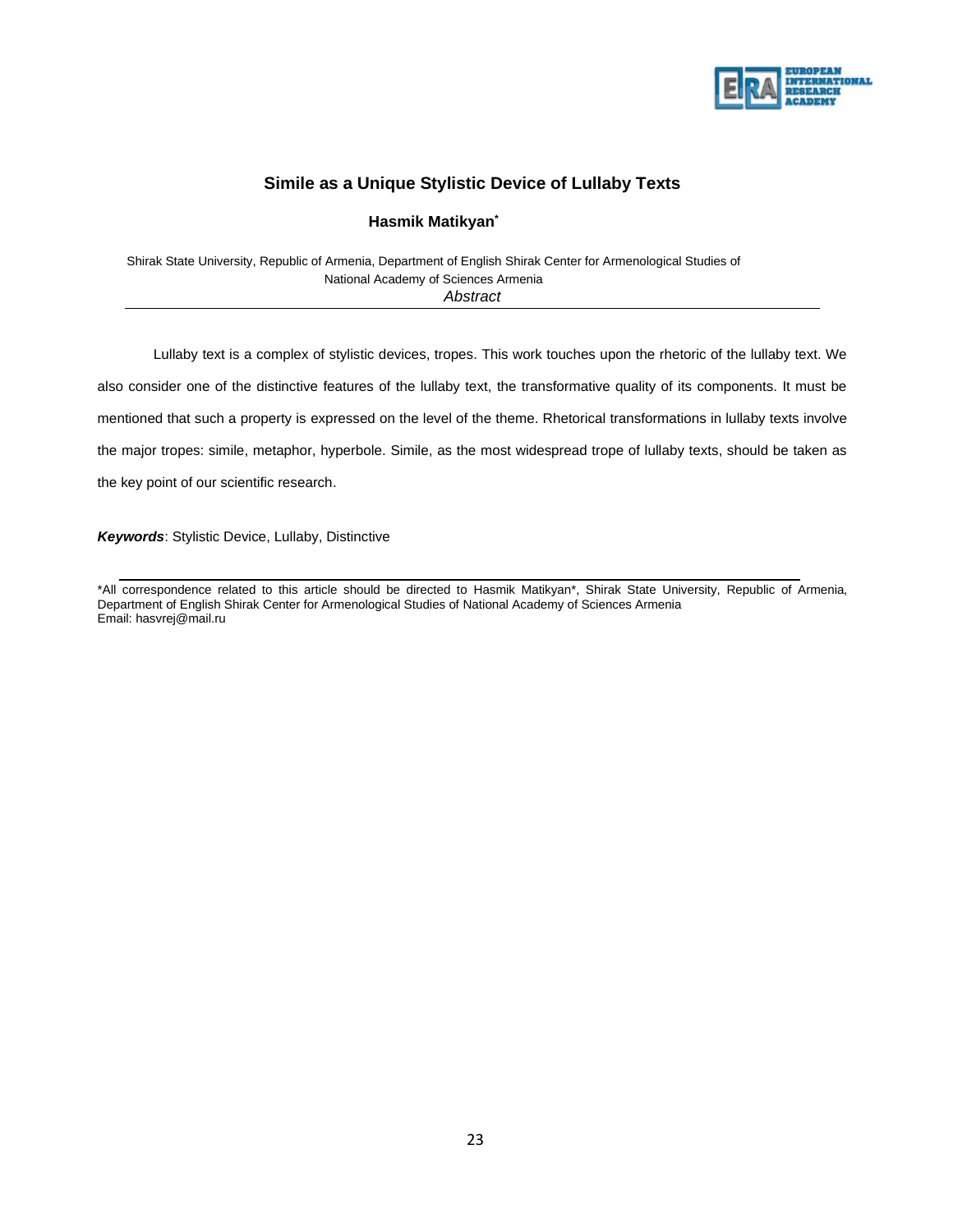

## **Simile as a Unique Stylistic Device of Lullaby Texts**

#### **Hasmik Matikyan\***

Shirak State University, Republic of Armenia, Department of English Shirak Center for Armenological Studies of National Academy of Sciences Armenia *Abstract*

Lullaby text is a complex of stylistic devices, tropes. This work touches upon the rhetoric of the lullaby text. We also consider one of the distinctive features of the lullaby text, the transformative quality of its components. It must be mentioned that such a property is expressed on the level of the theme. Rhetorical transformations in lullaby texts involve the major tropes: simile, metaphor, hyperbole. Simile, as the most widespread trope of lullaby texts, should be taken as the key point of our scientific research.

*Keywords*: Stylistic Device, Lullaby, Distinctive

\*All correspondence related to this article should be directed to Hasmik Matikyan\*, Shirak State University, Republic of Armenia, Department of English Shirak Center for Armenological Studies of National Academy of Sciences Armenia Email: [hasvrej@mail.ru](mailto:hasvrej@mail.ru)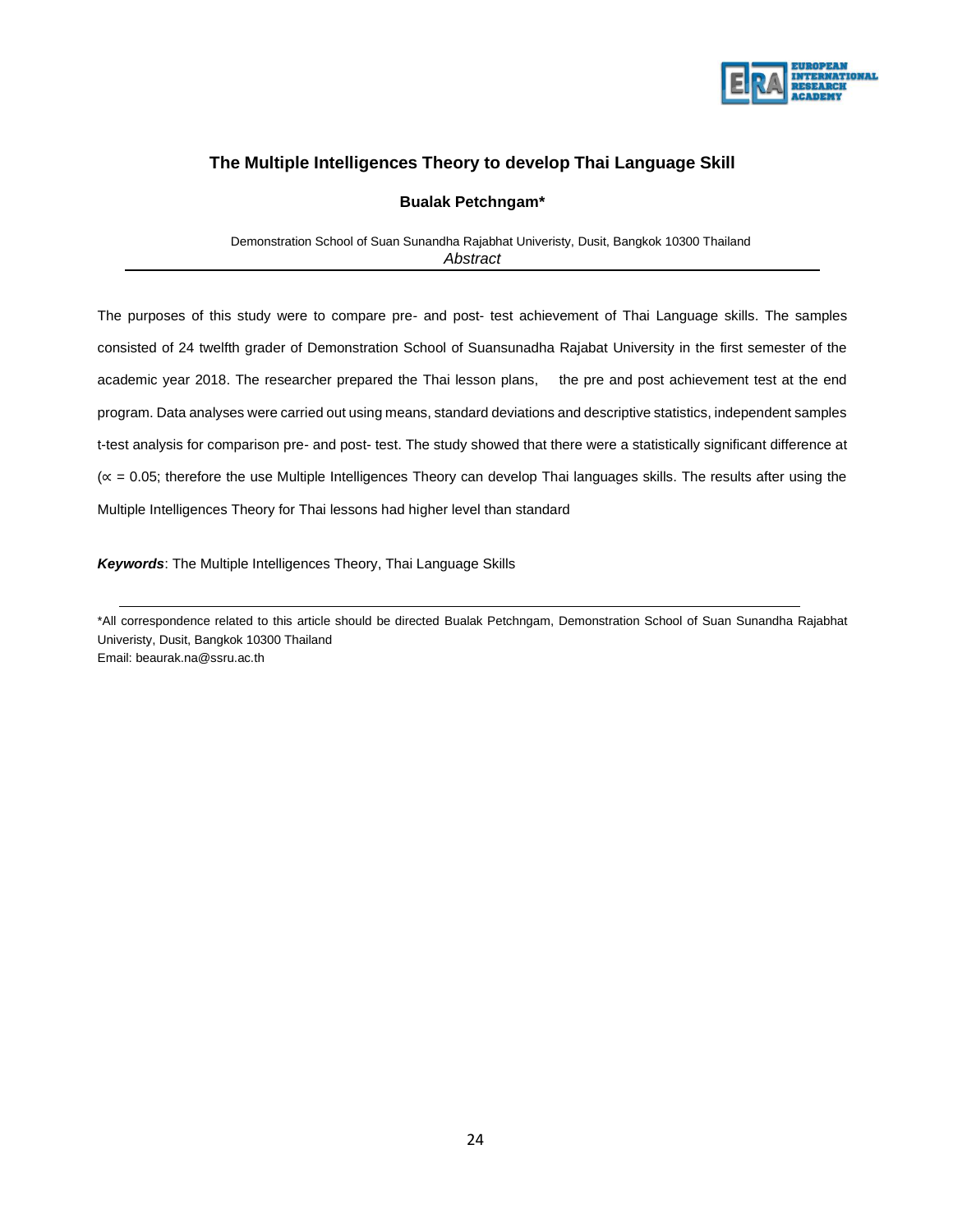

### **The Multiple Intelligences Theory to develop Thai Language Skill**

#### **Bualak Petchngam\***

 Demonstration School of Suan Sunandha Rajabhat Univeristy, Dusit, Bangkok 10300 Thailand *Abstract*

The purposes of this study were to compare pre- and post- test achievement of Thai Language skills. The samples consisted of 24 twelfth grader of Demonstration School of Suansunadha Rajabat University in the first semester of the academic year 2018. The researcher prepared the Thai lesson plans, the pre and post achievement test at the end program. Data analyses were carried out using means, standard deviations and descriptive statistics, independent samples t-test analysis for comparison pre- and post- test. The study showed that there were a statistically significant difference at (∝ = 0.05; therefore the use Multiple Intelligences Theory can develop Thai languages skills. The results after using the Multiple Intelligences Theory for Thai lessons had higher level than standard

*Keywords*: The Multiple Intelligences Theory, Thai Language Skills

\*All correspondence related to this article should be directed Bualak Petchngam, Demonstration School of Suan Sunandha Rajabhat Univeristy, Dusit, Bangkok 10300 Thailand Email: beaurak.na@ssru.ac.th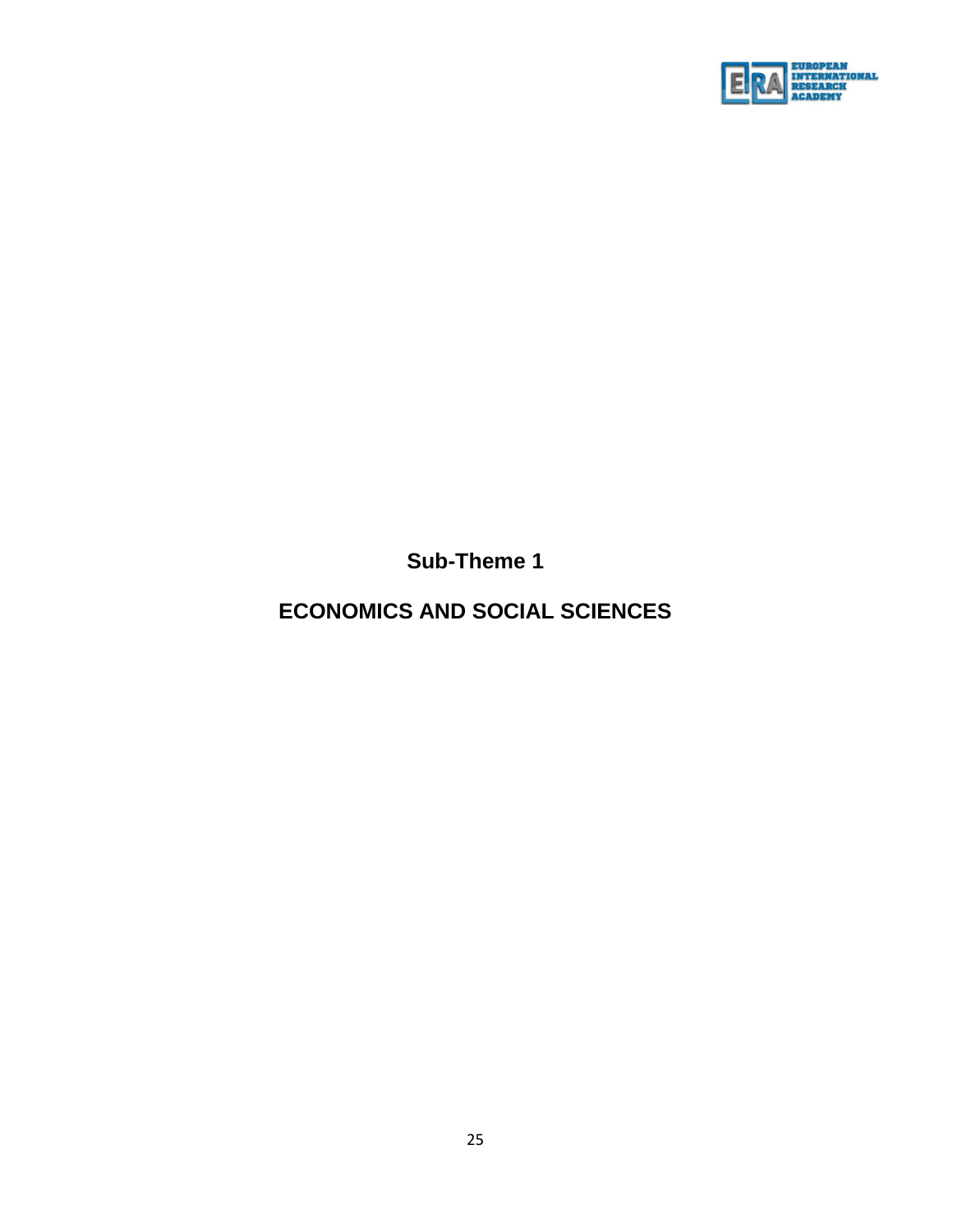

**Sub-Theme 1**

# **ECONOMICS AND SOCIAL SCIENCES**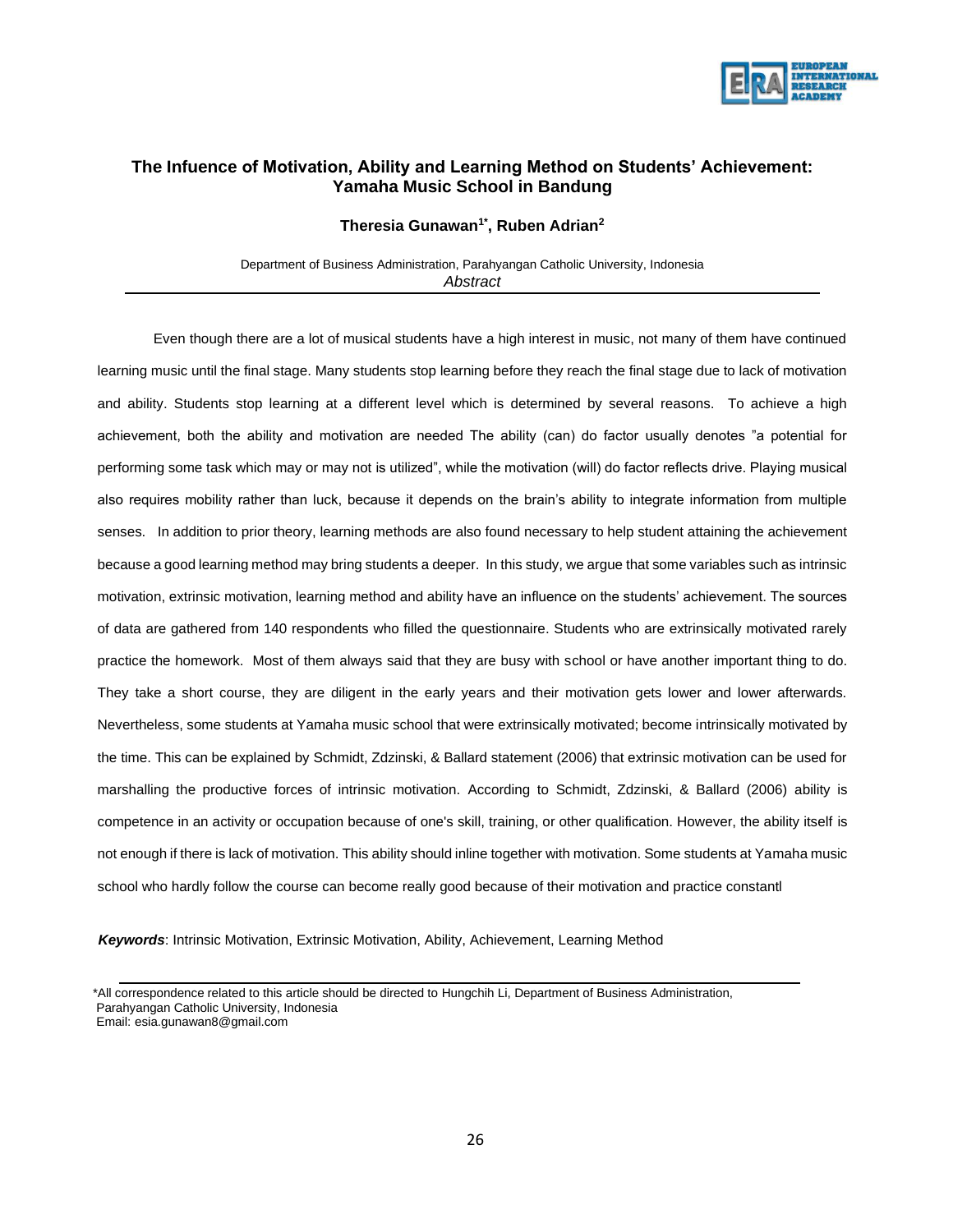

### **The Infuence of Motivation, Ability and Learning Method on Students' Achievement: Yamaha Music School in Bandung**

**Theresia Gunawan1\* , Ruben Adrian<sup>2</sup>**

Department of Business Administration, Parahyangan Catholic University, Indonesia *Abstract*

Even though there are a lot of musical students have a high interest in music, not many of them have continued learning music until the final stage. Many students stop learning before they reach the final stage due to lack of motivation and ability. Students stop learning at a different level which is determined by several reasons. To achieve a high achievement, both the ability and motivation are needed The ability (can) do factor usually denotes "a potential for performing some task which may or may not is utilized", while the motivation (will) do factor reflects drive. Playing musical also requires mobility rather than luck, because it depends on the brain's ability to integrate information from multiple senses. In addition to prior theory, learning methods are also found necessary to help student attaining the achievement because a good learning method may bring students a deeper. In this study, we argue that some variables such as intrinsic motivation, extrinsic motivation, learning method and ability have an influence on the students' achievement. The sources of data are gathered from 140 respondents who filled the questionnaire. Students who are extrinsically motivated rarely practice the homework. Most of them always said that they are busy with school or have another important thing to do. They take a short course, they are diligent in the early years and their motivation gets lower and lower afterwards. Nevertheless, some students at Yamaha music school that were extrinsically motivated; become intrinsically motivated by the time. This can be explained by Schmidt, Zdzinski, & Ballard statement (2006) that extrinsic motivation can be used for marshalling the productive forces of intrinsic motivation. According to Schmidt, Zdzinski, & Ballard (2006) ability is competence in an activity or occupation because of one's skill, training, or other qualification. However, the ability itself is not enough if there is lack of motivation. This ability should inline together with motivation. Some students at Yamaha music school who hardly follow the course can become really good because of their motivation and practice constantl

*Keywords*: Intrinsic Motivation, Extrinsic Motivation, Ability, Achievement, Learning Method

 <sup>\*</sup>All correspondence related to this article should be directed to Hungchih Li, Department of Business Administration, Parahyangan Catholic University, Indonesia

Email: esia.gunawan8@gmail.com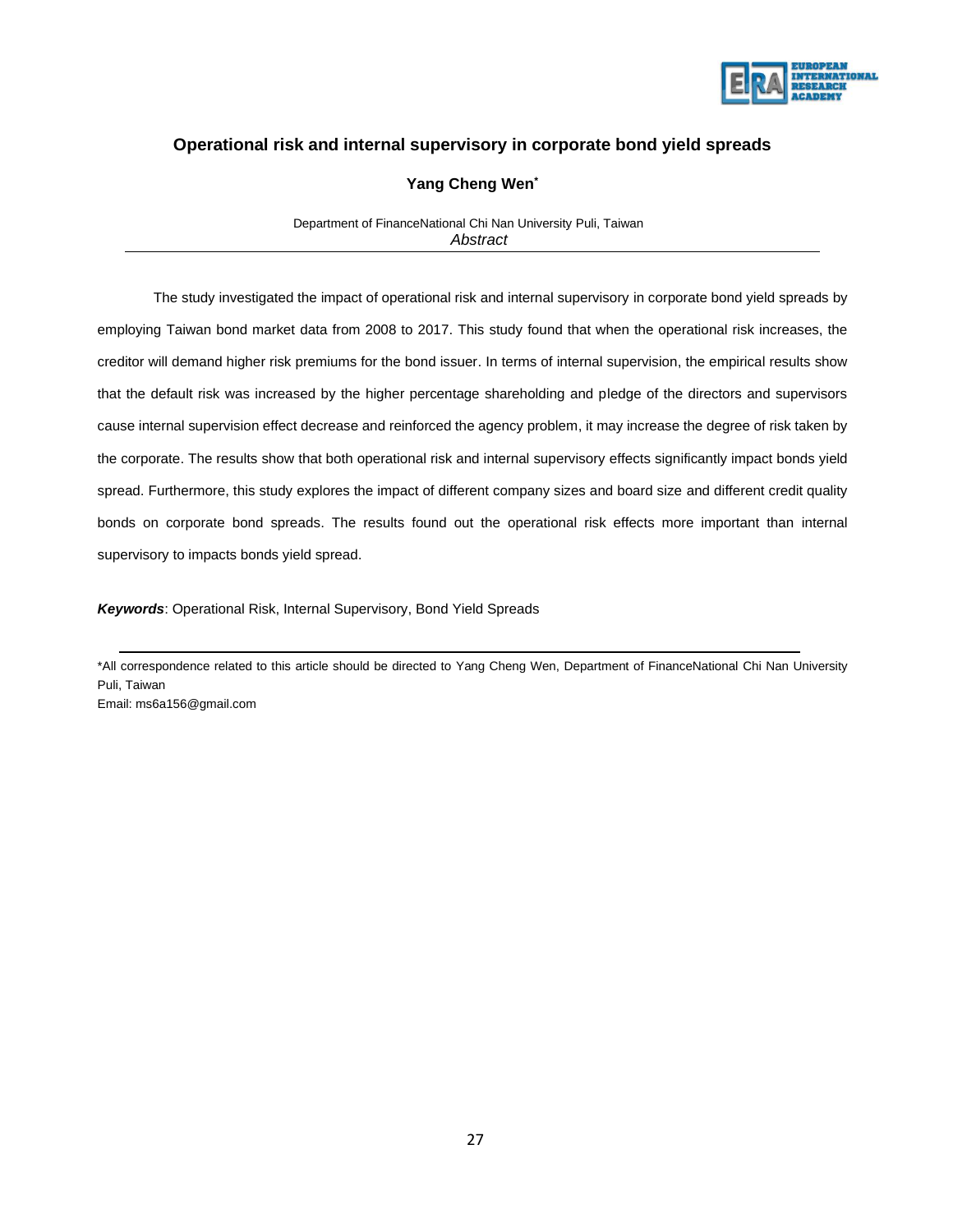

## **Operational risk and internal supervisory in corporate bond yield spreads**

#### **Yang Cheng Wen\***

 Department of FinanceNational Chi Nan University Puli, Taiwan  *Abstract*

The study investigated the impact of operational risk and internal supervisory in corporate bond yield spreads by employing Taiwan bond market data from 2008 to 2017. This study found that when the operational risk increases, the creditor will demand higher risk premiums for the bond issuer. In terms of internal supervision, the empirical results show that the default risk was increased by the higher percentage shareholding and pledge of the directors and supervisors cause internal supervision effect decrease and reinforced the agency problem, it may increase the degree of risk taken by the corporate. The results show that both operational risk and internal supervisory effects significantly impact bonds yield spread. Furthermore, this study explores the impact of different company sizes and board size and different credit quality bonds on corporate bond spreads. The results found out the operational risk effects more important than internal supervisory to impacts bonds yield spread.

*Keywords*: Operational Risk, Internal Supervisory, Bond Yield Spreads

\*All correspondence related to this article should be directed to Yang Cheng Wen, Department of FinanceNational Chi Nan University Puli, Taiwan

Email: ms6a156@gmail.com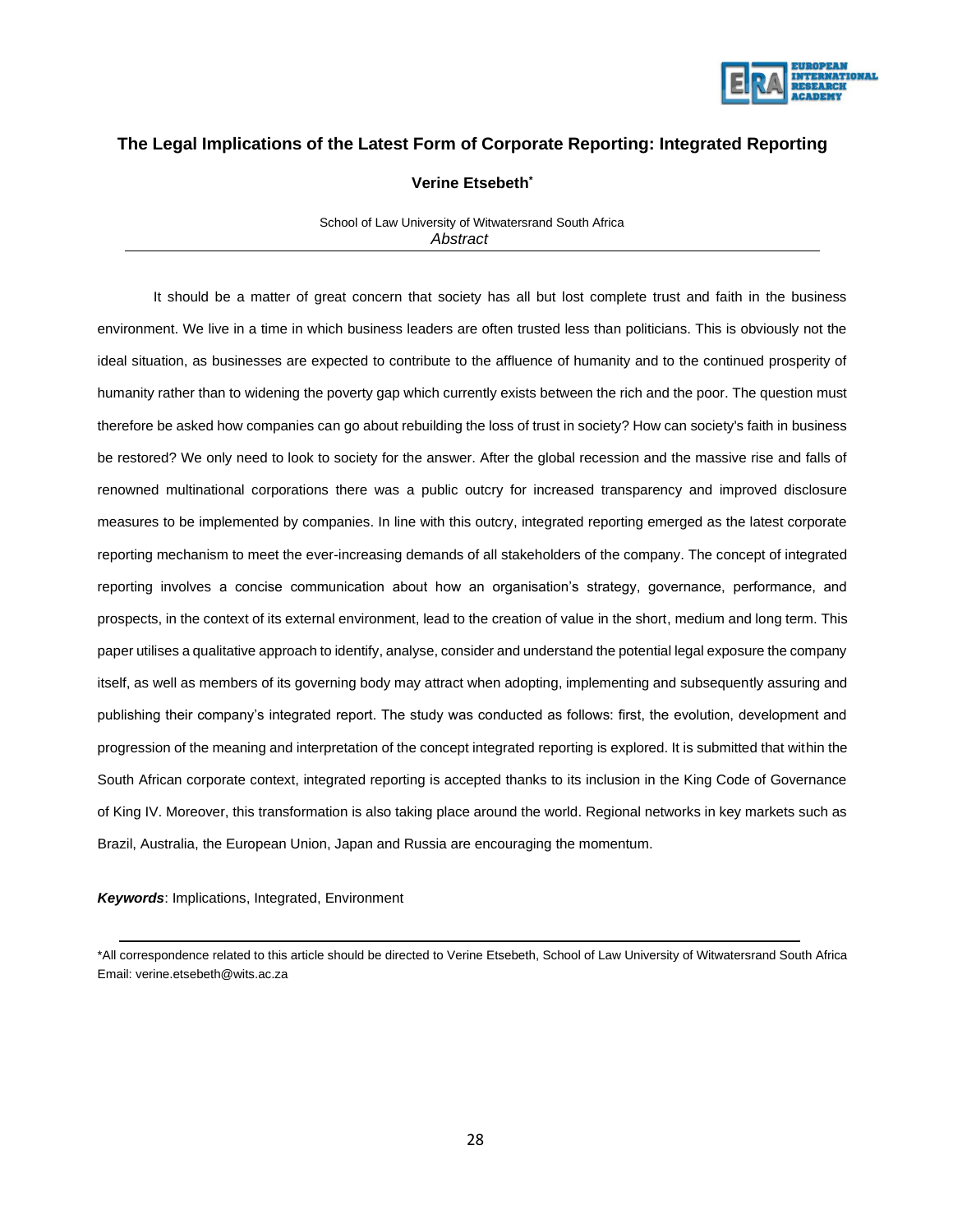

## **The Legal Implications of the Latest Form of Corporate Reporting: Integrated Reporting**

#### **Verine Etsebeth\***

 School of Law University of Witwatersrand South Africa *Abstract*

It should be a matter of great concern that society has all but lost complete trust and faith in the business environment. We live in a time in which business leaders are often trusted less than politicians. This is obviously not the ideal situation, as businesses are expected to contribute to the affluence of humanity and to the continued prosperity of humanity rather than to widening the poverty gap which currently exists between the rich and the poor. The question must therefore be asked how companies can go about rebuilding the loss of trust in society? How can society's faith in business be restored? We only need to look to society for the answer. After the global recession and the massive rise and falls of renowned multinational corporations there was a public outcry for increased transparency and improved disclosure measures to be implemented by companies. In line with this outcry, integrated reporting emerged as the latest corporate reporting mechanism to meet the ever-increasing demands of all stakeholders of the company. The concept of integrated reporting involves a concise communication about how an organisation's strategy, governance, performance, and prospects, in the context of its external environment, lead to the creation of value in the short, medium and long term. This paper utilises a qualitative approach to identify, analyse, consider and understand the potential legal exposure the company itself, as well as members of its governing body may attract when adopting, implementing and subsequently assuring and publishing their company's integrated report. The study was conducted as follows: first, the evolution, development and progression of the meaning and interpretation of the concept integrated reporting is explored. It is submitted that within the South African corporate context, integrated reporting is accepted thanks to its inclusion in the King Code of Governance of King IV. Moreover, this transformation is also taking place around the world. Regional networks in key markets such as Brazil, Australia, the European Union, Japan and Russia are encouraging the momentum.

*Keywords*: Implications, Integrated, Environment

<sup>\*</sup>All correspondence related to this article should be directed to Verine Etsebeth, School of Law University of Witwatersrand South Africa Email: verine.etsebeth@wits.ac.za